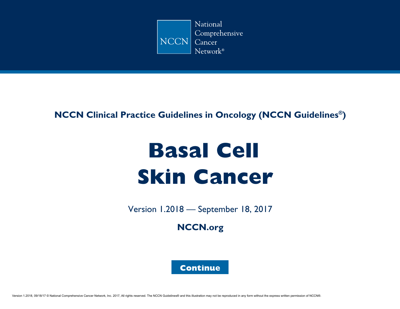

### **NCCN Clinical Practice Guidelines in Oncology (NCCN Guidelines®)**

# **Basal Cell Skin Cancer**

Version 1.2018 — September 18, 2017

**[NCCN.org](http://www.nccn.org/default.aspx)**

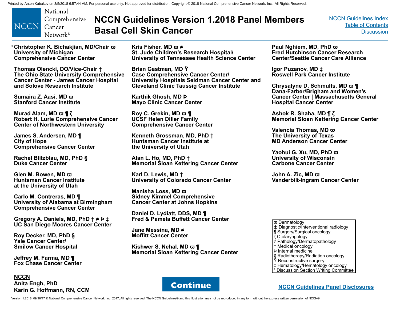<span id="page-1-0"></span>

# **NCCN Guidelines Version 1.2018 Panel Members Basal Cell Skin Cancer**

[NCCN Guidelines Index](http://www.nccn.org/professionals/physician_gls/f_guidelines.asp) [Table of Contents](#page-2-0) **[Discussion](#page-12-0)** 

\***Christopher K. Bichakjian, MD/Chair ϖ University of Michigan Comprehensive Cancer Center**

**Thomas Olencki, DO/Vice-Chair † The Ohio State University Comprehensive Cancer Center - James Cancer Hospital and Solove Research Institute**

**Sumaira Z. Aasi, MD ϖ Stanford Cancer Institute**

**Murad Alam, MD ϖ ¶ ζ Robert H. Lurie Comprehensive Cancer Center of Northwestern University**

**James S. Andersen, MD ¶ City of Hope Comprehensive Cancer Center**

**Rachel Blitzblau, MD, PhD § Duke Cancer Center**

**Glen M. Bowen, MD ϖ Huntsman Cancer Institute at the University of Utah**

**Carlo M. Contreras, MD ¶ University of Alabama at Birmingham Comprehensive Cancer Center**

**Gregory A. Daniels, MD, PhD † ≠ Þ ‡ UC San Diego Moores Cancer Center**

**Roy Decker, MD, PhD § Yale Cancer Center/ Smilow Cancer Hospital**

**Jeffrey M. Farma, MD ¶ Fox Chase Cancer Center**

**NCCN Anita Engh, PhD Karin G. Hoffmann, RN, CCM** **Kris Fisher, MD ϖ ≠ St. Jude Children's Research Hospital/ University of Tennessee Health Science Center**

**Brian Gastman, MD Ÿ Case Comprehensive Cancer Center/ University Hospitals Seidman Cancer Center and Cleveland Clinic Taussig Cancer Institute**

**Karthik Ghosh, MD Þ Mayo Clinic Cancer Center**

**Roy C. Grekin, MD ϖ ¶ UCSF Helen Diller Family Comprehensive Cancer Center**

**Kenneth Grossman, MD, PhD † Huntsman Cancer Institute at the University of Utah**

**Alan L. Ho, MD, PhD † Memorial Sloan Kettering Cancer Center**

**Karl D. Lewis, MD † University of Colorado Cancer Center**

**Manisha Loss, MD ϖ Sidney Kimmel Comprehensive Cancer Center at Johns Hopkins**

**Daniel D. Lydiatt, DDS, MD ¶ Fred & Pamela Buffett Cancer Center**

**Jane Messina, MD ≠ Moffitt Cancer Center** 

**Kishwer S. Nehal, MD ϖ ¶ Memorial Sloan Kettering Cancer Center**



**Igor Puzanov, MD ‡ Roswell Park Cancer Institute**

**Chrysalyne D. Schmults, MD ϖ ¶ Dana-Farber/Brigham and Women's Cancer Center | Massachusetts General Hospital Cancer Center**

**Ashok R. Shaha, MD ¶ ζ Memorial Sloan Kettering Cancer Center**

**Valencia Thomas, MD ϖ The University of Texas MD Anderson Cancer Center**

**Yaohui G. Xu, MD, PhD ϖ University of Wisconsin Carbone Cancer Center**

**John A. Zic, MD ϖ Vanderbilt-Ingram Cancer Center**

ϖ Dermatology

- ф Diagnostic/Interventional radiology
- ¶ Surgery/Surgical oncology
- ζ Otolaryngology
- ≠ Pathology/Dermatopathology
- † Medical oncology
- Þ Internal medicine
- § Radiotherapy/Radiation oncology
- Ÿ Reconstructive surgery
- ‡ Hematology/Hematology oncology
- \* Discussion Section Writing Committee

**[Continue](#page-2-0) NECN Guidelines Panel Disclosures** 

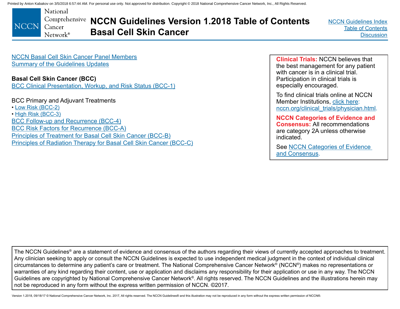<span id="page-2-0"></span>National Comprehensive NCCN Guidelines Version 1.2018 Table of Contents **NCCN** Cancer **Basal Cell Skin Cancer**  $N$ etwork®

[NCCN Guidelines Index](http://www.nccn.org/professionals/physician_gls/f_guidelines.asp)  Table of Contents **[Discussion](#page-12-0)** 

[NCCN Basal Cell Skin Cancer Panel Members](#page-1-0) [Summary of the Guidelines Updates](#page-3-0)

### **Basal Cell Skin Cancer (BCC)**

[BCC Clinical Presentation, Workup, and Risk Status \(BCC-1\)](#page-5-0)

BCC Primary and Adjuvant Treatments

- [Low Risk \(BCC-2\)](#page-6-0)
- [High Risk \(BCC-3\)](#page-7-0)

[BCC Follow-up and Recurrence \(BCC-4\)](#page-8-0) [BCC Risk Factors for Recurrence \(BCC-A\)](#page-9-0) [Principles of Treatment for Basal Cell Skin Cancer \(BCC-B\)](#page-10-0) [Principles of Radiation Therapy for Basal Cell Skin Cancer \(BCC-C\)](#page-11-0)

**Clinical Trials:** NCCN believes that the best management for any patient with cancer is in a clinical trial. Participation in clinical trials is especially encouraged.

To find clinical trials online at NCCN Member Institutions, [click here:](http://www.nccn.org/clinical_trials/clinicians.aspx)  [nccn.org/clinical\\_trials/physician.html.](http://www.nccn.org/clinical_trials/clinicians.aspx)

**NCCN Categories of Evidence and Consensus:** All recommendations are category 2A unless otherwise indicated.

See [NCCN Categories of Evidence](#page-12-0)  [and Consensus.](#page-12-0)

The NCCN Guidelines® are a statement of evidence and consensus of the authors regarding their views of currently accepted approaches to treatment. Any clinician seeking to apply or consult the NCCN Guidelines is expected to use independent medical judgment in the context of individual clinical circumstances to determine any patient's care or treatment. The National Comprehensive Cancer Network® (NCCN®) makes no representations or warranties of any kind regarding their content, use or application and disclaims any responsibility for their application or use in any way. The NCCN Guidelines are copyrighted by National Comprehensive Cancer Network®. All rights reserved. The NCCN Guidelines and the illustrations herein may not be reproduced in any form without the express written permission of NCCN. ©2017.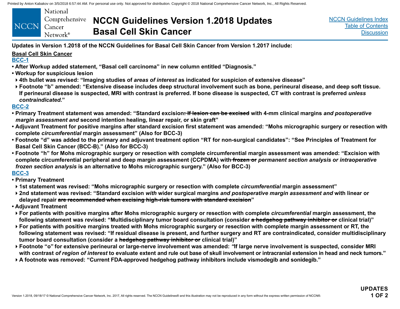<span id="page-3-0"></span>

|             | National             |
|-------------|----------------------|
|             | Comprehensive        |
| <b>NCCN</b> | Cancer               |
|             | Network <sup>®</sup> |

# **NCCN Guidelines Version 1.2018 Updates Basal Cell Skin Cancer**

**Updates in Version 1.2018 of the NCCN Guidelines for Basal Cell Skin Cancer from Version 1.2017 include:**

#### **Basal Cell Skin Cancer**

#### **[BCC-1](#page-5-0)**

- **After Workup added statement, "Basal cell carcinoma" in new column entitled "Diagnosis."**
- **Workup for suspicious lesion**
- **4th bullet was revised: "Imaging studies of** *areas of interest* **as indicated for suspicion of extensive disease"**
- **Footnote "b" amended: "Extensive disease includes deep structural involvement such as bone, perineural disease, and deep soft tissue. If perineural disease is suspected, MRI with contrast is preferred. If bone disease is suspected, CT with contrast is preferred** *unless contraindicated***."**

#### **[BCC-2](#page-6-0)**

- **Primary Treatment statement was amended: "Standard excision: If lesion can be excised with 4-mm clinical margins** *and postoperative margin assessment and* **second intention healing, linear repair, or skin graft"**
- **Adjuvant Treatment for positive margins after standard excision first statement was amended: "Mohs micrographic surgery or resection with complete** *circumferential* **margin assessment" (Also for BCC-3)**
- **Footnote "d" was added to the primary and adjuvant treatment option "RT for non-surgical candidates": "See Principles of Treatment for Basal Cell Skin Cancer (BCC-B)." (Also for BCC-3)**
- **Footnote "h" for Mohs micrographic surgery or resection with complete circumferential margin assessment was amended: "Excision with complete circumferential peripheral and deep margin assessment (CCPDMA) with frozen or** *permanent section analysis or intraoperative frozen section analysis* **is an alternative to Mohs micrographic surgery." (Also for BCC-3)**

#### **[BCC-3](#page-7-0)**

- **Primary Treatment**
- **1st statement was revised: "Mohs micrographic surgery or resection with complete** *circumferential* **margin assessment"**
- **2nd statement was revised: "Standard excision** *with* **wider surgical margins** *and postoperative margin assessment and* **with linear or delayed repair are recommended when excising high-risk tumors with standard excision"**
- **Adjuvant Treatment**
- **For patients with positive margins after Mohs micrographic surgery or resection with complete** *circumferential* **margin assessment, the following statement was revised: "Multidisciplinary tumor board consultation (consider a hedgehog pathway inhibitor or clinical trial)"**
- **For patients with positive margins treated with Mohs micrographic surgery or resection with complete margin assessment or RT, the following statement was revised: "If residual disease is present, and further surgery and RT are contraindicated, consider multidisciplinary tumor board consultation (consider a hedgehog pathway inhibitor or clinical trial)"**
- **Footnote "o" for extensive perineural or large-nerve involvement was amended:** *"***If large nerve involvement is suspected, consider MRI with contrast** *of region of interest* **to evaluate extent and rule out base of skull involvement or intracranial extension in head and neck tumors."**
- **A footnote was removed: "Current FDA-approved hedgehog pathway inhibitors include vismodegib and sonidegib."**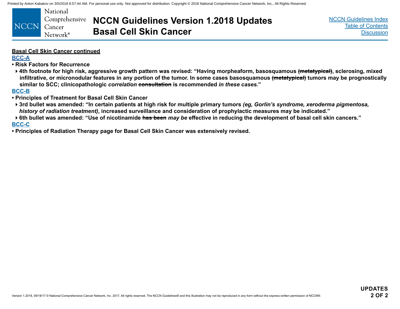

**NCCN Guidelines Version 1.2018 Updates Basal Cell Skin Cancer**

[NCCN Guidelines Index](http://www.nccn.org/professionals/physician_gls/f_guidelines.asp) [Table of Contents](#page-2-0) **[Discussion](#page-12-0)** 

#### **Basal Cell Skin Cancer continued**

**[BCC-A](#page-9-0)**

**• Risk Factors for Recurrence**

**4th footnote for high risk, aggressive growth pattern was revised: "Having morpheaform, basosquamous (metatypical), sclerosing, mixed infiltrative, or micronodular features in any portion of the tumor. In some cases basosquamous (metatypical) tumors may be prognostically similar to SCC; clinicopathologic** *correlation* **consultation is recommended** *in these cases.***"**

**[BCC-B](#page-10-0)**

- **Principles of Treatment for Basal Cell Skin Cancer**
- **3rd bullet was amended: "In certain patients at high risk for multiple primary tumors** *(eg, Gorlin's syndrome, xeroderma pigmentosa, history of radiation treatment)***, increased surveillance and consideration of prophylactic measures may be indicated."**
- **6th bullet was amended: "Use of nicotinamide has been** *may be* **effective in reducing the development of basal cell skin cancers." [BCC-C](#page-11-0)**
- **Principles of Radiation Therapy page for Basal Cell Skin Cancer was extensively revised.**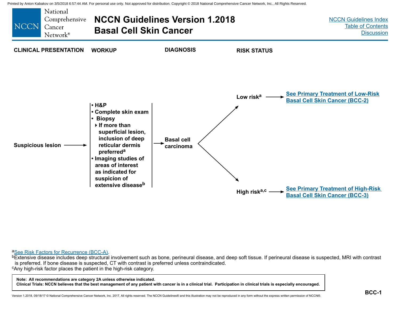<span id="page-5-0"></span>

<sup>a</sup>[See Risk Factors for Recurrence \(BCC-A\)](#page-9-0).<br><sup>b</sup>Extensive disease includes deep structural involvement such as bone, perineural disease, and deep soft tissue. If perineural disease is suspected, MRI with contrast is preferred. If bone disease is suspected, CT with contrast is preferred unless contraindicated. <sup>c</sup>Any high-risk factor places the patient in the high-risk category.

**Note: All recommendations are category 2A unless otherwise indicated.**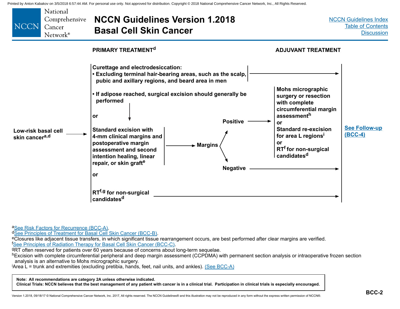<span id="page-6-0"></span>

<sup>a</sup>[See Risk Factors for Recurrence \(BCC-A\)](#page-9-0).<br><sup>d</sup>[See Principles of Treatment for Basal Cell Skin Cancer \(BCC-B\)](#page-10-0).<br><sup>e</sup>Closures like adjacent tissue transfers, in which significant tissue rearrangement occurs, are best performe <sup>f</sup>See Principles of Radiation Therapy for Basal Cell Skin Cancer (BCC-C).

BRT often reserved for patients over 60 years because of concerns about long-term sequelae.

hExcision with complete circumferential peripheral and deep margin assessment (CCPDMA) with permanent section analysis or intraoperative frozen section analysis is an alternative to Mohs micrographic surgery.

Area L = trunk and extremities (excluding pretibia, hands, feet, nail units, and ankles). <u>[\(See BCC-A\)](#page-9-0)</u>

**Note: All recommendations are category 2A unless otherwise indicated.**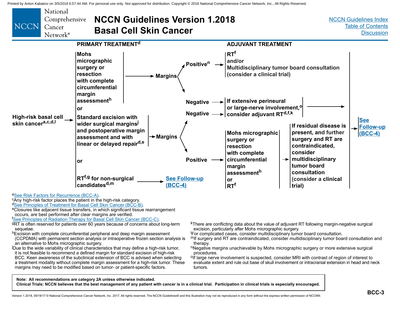<span id="page-7-0"></span>

**Note: All recommendations are category 2A unless otherwise indicated.**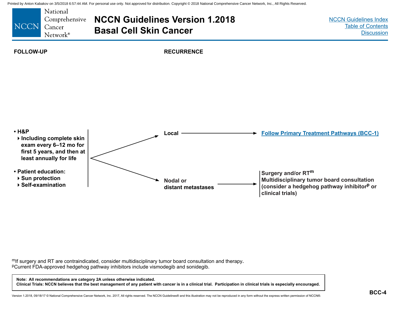<span id="page-8-0"></span>

m<sub>If surgery and RT are contraindicated, consider multidisciplinary tumor board consultation and therapy.<br>PCurrent FDA-approved hedgehog pathway inhibitors include vismodegib and sonidegib.</sub>

**Note: All recommendations are category 2A unless otherwise indicated. Clinical Trials: NCCN believes that the best management of any patient with cancer is in a clinical trial. Participation in clinical trials is especially encouraged.**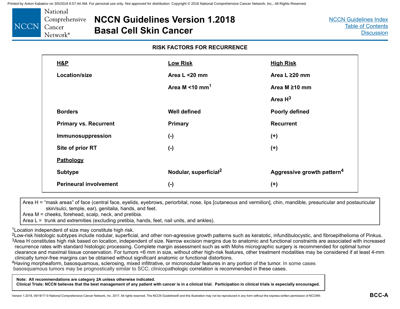<span id="page-9-0"></span>

### **NCCN Guidelines Version 1.2018 Basal Cell Skin Cancer**

#### **RISK FACTORS FOR RECURRENCE**

| <b>H&amp;P</b>                | <b>Low Risk</b>                   | <b>High Risk</b>                       |
|-------------------------------|-----------------------------------|----------------------------------------|
| Location/size                 | Area L <20 mm                     | Area L ≥20 mm                          |
|                               | Area M < 10 mm <sup>1</sup>       | Area M $\geq$ 10 mm                    |
|                               |                                   | Area $H^3$                             |
| <b>Borders</b>                | <b>Well defined</b>               | <b>Poorly defined</b>                  |
| <b>Primary vs. Recurrent</b>  | <b>Primary</b>                    | <b>Recurrent</b>                       |
| Immunosuppression             | $(-)$                             | $(+)$                                  |
| Site of prior RT              | $(-)$                             | $(+)$                                  |
| Pathology                     |                                   |                                        |
| <b>Subtype</b>                | Nodular, superficial <sup>2</sup> | Aggressive growth pattern <sup>4</sup> |
| <b>Perineural involvement</b> | $(-)$                             | $(+)$                                  |

Area H = "mask areas" of face (central face, eyelids, eyebrows, periorbital, nose, lips [cutaneous and vermilion], chin, mandible, preauricular and postauricular skin/sulci, temple, ear), genitalia, hands, and feet.

Area M = cheeks, forehead, scalp, neck, and pretibia.

Area L = trunk and extremities (excluding pretibia, hands, feet, nail units, and ankles).

<sup>1</sup>Location independent of size may constitute high risk.

<sup>2</sup>Low-risk histologic subtypes include nodular, superficial, and other non-agressive growth patterns such as keratotic, infundibulocystic, and fibroepithelioma of Pinkus. <sup>3</sup>Area H constitutes high risk based on location, independent of size. Narrow excision margins due to anatomic and functional constraints are associated with increased recurrence rates with standard histologic processing. Complete margin assessment such as with Mohs micrographic surgery is recommended for optimal tumor clearance and maximal tissue conservation. For tumors <6 mm in size, without other high-risk features, other treatment modalities may be considered if at least 4-mm clinically tumor-free margins can be obtained without significant anatomic or functional distortions.

4Having morpheaform, basosquamous, sclerosing, mixed infiltrative, or micronodular features in any portion of the tumor. In some cases basosquamous tumors may be prognostically similar to SCC; clinicopathologic correlation is recommended in these cases.

**Note: All recommendations are category 2A unless otherwise indicated.**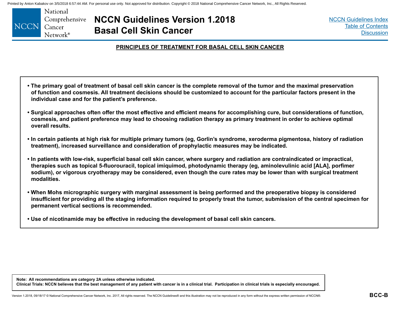<span id="page-10-0"></span>

**NCCN Guidelines Version 1.2018 Basal Cell Skin Cancer**

[NCCN Guidelines Index](http://www.nccn.org/professionals/physician_gls/f_guidelines.asp) [Table of Contents](#page-2-0) **[Discussion](#page-12-0)** 

#### **PRINCIPLES OF TREATMENT FOR BASAL CELL SKIN CANCER**

- **The primary goal of treatment of basal cell skin cancer is the complete removal of the tumor and the maximal preservation of function and cosmesis. All treatment decisions should be customized to account for the particular factors present in the individual case and for the patient's preference.**
- **Surgical approaches often offer the most effective and efficient means for accomplishing cure, but considerations of function, cosmesis, and patient preference may lead to choosing radiation therapy as primary treatment in order to achieve optimal overall results.**
- **In certain patients at high risk for multiple primary tumors (eg, Gorlin's syndrome, xeroderma pigmentosa, history of radiation treatment), increased surveillance and consideration of prophylactic measures may be indicated.**
- **In patients with low-risk, superficial basal cell skin cancer, where surgery and radiation are contraindicated or impractical, therapies such as topical 5-fluorouracil, topical imiquimod, photodynamic therapy (eg, aminolevulinic acid [ALA], porfimer sodium), or vigorous cryotherapy may be considered, even though the cure rates may be lower than with surgical treatment modalities.**
- **When Mohs micrographic surgery with marginal assessment is being performed and the preoperative biopsy is considered insufficient for providing all the staging information required to properly treat the tumor, submission of the central specimen for permanent vertical sections is recommended.**
- **Use of nicotinamide may be effective in reducing the development of basal cell skin cancers.**

**Note: All recommendations are category 2A unless otherwise indicated. Clinical Trials: NCCN believes that the best management of any patient with cancer is in a clinical trial. Participation in clinical trials is especially encouraged.**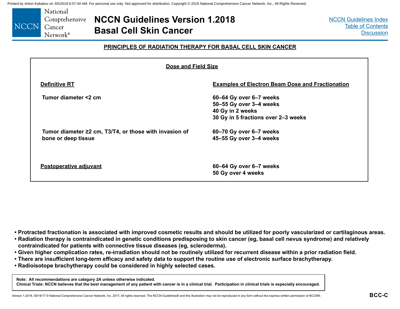<span id="page-11-0"></span>

**NCCN Guidelines Version 1.2018 Basal Cell Skin Cancer**

[NCCN Guidelines Index](http://www.nccn.org/professionals/physician_gls/f_guidelines.asp) [Table of Contents](#page-2-0) **[Discussion](#page-12-0)** 

#### **PRINCIPLES OF RADIATION THERAPY FOR BASAL CELL SKIN CANCER**

| Dose and Field Size                                                                 |                                                                                                               |  |  |  |  |  |  |
|-------------------------------------------------------------------------------------|---------------------------------------------------------------------------------------------------------------|--|--|--|--|--|--|
| <b>Definitive RT</b>                                                                | <b>Examples of Electron Beam Dose and Fractionation</b>                                                       |  |  |  |  |  |  |
| Tumor diameter <2 cm                                                                | 60-64 Gy over 6-7 weeks<br>50-55 Gy over 3-4 weeks<br>40 Gy in 2 weeks<br>30 Gy in 5 fractions over 2-3 weeks |  |  |  |  |  |  |
| Tumor diameter $\geq 2$ cm, T3/T4, or those with invasion of<br>bone or deep tissue | 60-70 Gy over 6-7 weeks<br>45-55 Gy over 3-4 weeks                                                            |  |  |  |  |  |  |
| Postoperative adjuvant                                                              | 60-64 Gy over 6-7 weeks<br>50 Gy over 4 weeks                                                                 |  |  |  |  |  |  |

- **Protracted fractionation is associated with improved cosmetic results and should be utilized for poorly vascularized or cartilaginous areas.**
- **Radiation therapy is contraindicated in genetic conditions predisposing to skin cancer (eg, basal cell nevus syndrome) and relatively contraindicated for patients with connective tissue diseases (eg, scleroderma).**
- **Given higher complication rates, re-irradiation should not be routinely utilized for recurrent disease within a prior radiation field.**
- **There are insufficient long-term efficacy and safety data to support the routine use of electronic surface brachytherapy.**
- **Radioisotope brachytherapy could be considered in highly selected cases.**

**Note: All recommendations are category 2A unless otherwise indicated.**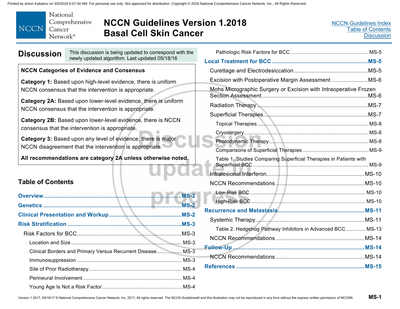<span id="page-12-0"></span>

# **NCCN Guidelines Version 1.2018 Basal Cell Skin Cancer**

| <b>Discussion</b> | This discussion is being updated to correspond with the<br>newly updated algorithm. Last updated 05/18/16               |  |  |  |  |
|-------------------|-------------------------------------------------------------------------------------------------------------------------|--|--|--|--|
|                   | <b>NCCN Categories of Evidence and Consensus</b>                                                                        |  |  |  |  |
|                   | Category 1: Based upon high-level evidence, there is uniform<br>NCCN consensus that the intervention is appropriate.    |  |  |  |  |
|                   | Category 2A: Based upon lower-level evidence, there is uniform<br>NCCN consensus that the intervention is appropriate.  |  |  |  |  |
|                   | Category 2B: Based upon lower-level evidence, there is NCCN<br>consensus that the intervention is appropriate.          |  |  |  |  |
|                   | Category 3: Based upon any level of evidence, there is major<br>NCCN disagreement that the intervention is appropriate. |  |  |  |  |

**All recommendations are category 2A unless otherwise noted.** 

### **Table of Contents**

|                                                            | $MS-2$ |
|------------------------------------------------------------|--------|
|                                                            | $MS-2$ |
|                                                            |        |
|                                                            |        |
|                                                            |        |
|                                                            |        |
| Clinical Borders and Primary Versus Recurrent Disease MS-3 |        |
|                                                            |        |
|                                                            |        |
|                                                            |        |
|                                                            |        |

| Excision with Postoperative Margin AssessmentMS-6                 |  |
|-------------------------------------------------------------------|--|
| Mohs Micrographic Surgery or Excision with Intraoperative Frozen  |  |
|                                                                   |  |
|                                                                   |  |
|                                                                   |  |
|                                                                   |  |
|                                                                   |  |
|                                                                   |  |
| Table 1. Studies Comparing Superficial Therapies in Patients with |  |
|                                                                   |  |
|                                                                   |  |
|                                                                   |  |
|                                                                   |  |
|                                                                   |  |
|                                                                   |  |
| Table 2. Hedgehog Pathway Inhibitors in Advanced BCC  MS-13       |  |
|                                                                   |  |
|                                                                   |  |
|                                                                   |  |
|                                                                   |  |
|                                                                   |  |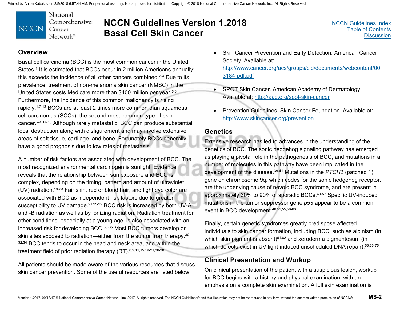

# **NCCN Guidelines Version 1.2018 Basal Cell Skin Cancer**

### **Overview**

Basal cell carcinoma (BCC) is the most common cancer in the United States.<sup>1</sup> It is estimated that BCCs occur in 2 million Americans annually: this exceeds the incidence of all other cancers combined.<sup>2-4</sup> Due to its prevalence, treatment of non-melanoma skin cancer (NMSC) in the United States costs Medicare more than \$400 million per year.<sup>5,6</sup> Furthermore, the incidence of this common malignancy is rising rapidly.<sup>1,7-13</sup> BCCs are at least 2 times more common than squamous cell carcinomas (SCCs), the second most common type of skin cancer.2-4,14-18 Although rarely metastatic, BCC can produce substantial local destruction along with disfigurement and may involve extensive areas of soft tissue, cartilage, and bone. Fortunately BCCs generally have a good prognosis due to low rates of metastasis.

A number of risk factors are associated with development of BCC. The most recognized environmental carcinogen is sunlight. Evidence reveals that the relationship between sun exposure and BCC is complex, depending on the timing, pattern and amount of ultraviolet (UV) radiation.19-23 Fair skin, red or blond hair, and light eye color are associated with BCC as independent risk factors due to greater susceptibility to UV damage.<sup>21,23-29</sup> BCC risk is increased by both UV-A and -B radiation as well as by ionizing radiation. Radiation treatment for other conditions, especially at a young age, is also associated with an increased risk for developing BCC.30-35 Most BCC tumors develop on skin sites exposed to radiation—either from the sun or from therapy.<sup>30-</sup> 32,34 BCC tends to occur in the head and neck area, and within the treatment field of prior radiation therapy (RT). 8,9,11,15,19-21,36-38

All patients should be made aware of the various resources that discuss skin cancer prevention. Some of the useful resources are listed below:

- Skin Cancer Prevention and Early Detection. American Cancer Society. Available at: [http://www.cancer.org/acs/groups/cid/documents/webcontent/00](http://www.cancer.org/acs/groups/cid/documents/webcontent/003184-pdf.pdf) 3184-pdf.pdf
- SPOT Skin Cancer. American Academy of Dermatology. Available at: <http://aad.org/spot-skin-cancer>
- Prevention Guidelines. Skin Cancer Foundation. Available at: [http://www.skincancer.org/prevention](http://aad.org/spot-skin-cancer)

### **Genetics**

Extensive research has led to advances in the understanding of the genetics of BCC. The sonic hedgehog signaling pathway has emerged as playing a pivotal role in the pathogenesis of BCC, and mutations in a number of molecules in this pathway have been implicated in the development of the disease.39-41 Mutations in the *PTCH1* (patched 1) gene on chromosome 9q, which codes for the sonic hedgehog receptor, are the underlying cause of nevoid BCC syndrome, and are present in approximately 30% to 90% of sporadic BCCs.40-57 Specific UV-induced mutations in the tumor suppressor gene *p53* appear to be a common event in BCC development.46,52,55,58-60

Finally, certain genetic syndromes greatly predispose affected individuals to skin cancer formation, including BCC, such as albinism (in which skin pigment is absent) $61,62$  and xeroderma pigmentosum (in which defects exist in UV light-induced unscheduled DNA repair).<sup>56,63-75</sup>

### **Clinical Presentation and Workup**

On clinical presentation of the patient with a suspicious lesion, workup for BCC begins with a history and physical examination, with an emphasis on a complete skin examination. A full skin examination is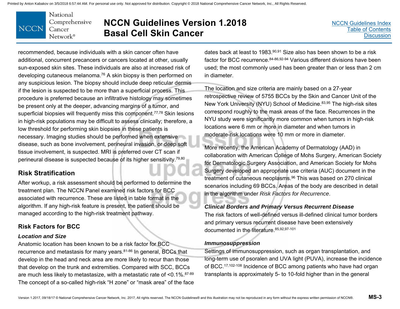

# **NCCN Guidelines Version 1.2018 Basal Cell Skin Cancer**

recommended, because individuals with a skin cancer often have additional, concurrent precancers or cancers located at other, usually sun-exposed skin sites. These individuals are also at increased risk of developing cutaneous melanoma.76 A skin biopsy is then performed on any suspicious lesion. The biopsy should include deep reticular dermis if the lesion is suspected to be more than a superficial process. This procedure is preferred because an infiltrative histology may sometimes be present only at the deeper, advancing margins of a tumor, and superficial biopsies will frequently miss this component.<sup>77,78</sup> Skin lesions in high-risk populations may be difficult to assess clinically; therefore, a low threshold for performing skin biopsies in these patients is necessary. Imaging studies should be performed when extensive disease, such as bone involvement, perineural invasion, or deep soft tissue involvement, is suspected. MRI is preferred over CT scan if perineural disease is suspected because of its higher sensitivity.79,80

### **Risk Stratification**

After workup, a risk assessment should be performed to determine the treatment plan. The NCCN Panel examined risk factors for BCC associated with recurrence. These are listed in table format in the algorithm. If any high-risk feature is present, the patient should be managed according to the high-risk treatment pathway.

### **Risk Factors for BCC**

#### *Location and Size*

Anatomic location has been known to be a risk factor for BCC recurrence and metastasis for many years.81-86 In general, BCCs that develop in the head and neck area are more likely to recur than those that develop on the trunk and extremities. Compared with SCC, BCCs are much less likely to metastasize, with a metastatic rate of <0.1%.87-89 The concept of a so-called high-risk "H zone" or "mask area" of the face dates back at least to 1983.90,91 Size also has been shown to be a risk factor for BCC recurrence.84-86,92-94 Various different divisions have been used; the most commonly used has been greater than or less than 2 cm in diameter.

The location and size criteria are mainly based on a 27-year retrospective review of 5755 BCCs by the Skin and Cancer Unit of the New York University (NYU) School of Medicine.<sup>83,95</sup> The high-risk sites correspond roughly to the mask areas of the face. Recurrences in the NYU study were significantly more common when tumors in high-risk locations were 6 mm or more in diameter and when tumors in moderate-risk locations were 10 mm or more in diameter.

More recently, the American Academy of Dermatology (AAD) in collaboration with American College of Mohs Surgery, American Society for Dermatologic Surgery Association, and American Society for Mohs Surgery developed an appropriate use criteria (AUC) document in the treatment of cutaneous neoplasms.96 This was based on 270 clinical scenarios including 69 BCCs. Areas of the body are described in detail in the algorithm under *Risk Factors for Recurrence*.

### *Clinical Borders and Primary Versus Recurrent Disease*

The risk factors of well-defined versus ill-defined clinical tumor borders and primary versus recurrent disease have been extensively documented in the literature.85,92,97-101

#### *Immunosuppression*

Settings of immunosuppression, such as organ transplantation, and long-term use of psoralen and UVA light (PUVA), increase the incidence of BCC.17,102-108 Incidence of BCC among patients who have had organ transplants is approximately 5- to 10-fold higher than in the general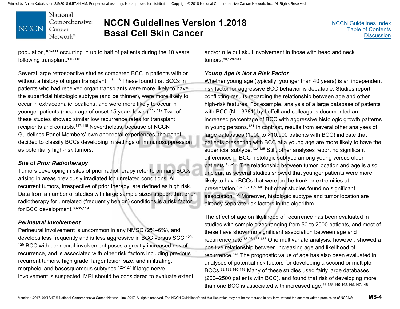National Comprehensive **NCCN** Cancer Network®

# **NCCN Guidelines Version 1.2018 Basal Cell Skin Cancer**

population,109-111 occurring in up to half of patients during the 10 years following transplant.<sup>112-115</sup>

Several large retrospective studies compared BCC in patients with or without a history of organ transplant.<sup>116-118</sup> These found that BCCs in patients who had received organ transplants were more likely to have the superficial histologic subtype (and be thinner), were more likely to occur in extracephalic locations, and were more likely to occur in younger patients (mean age of onset 15 years lower).<sup>116,117</sup> Two of these studies showed similar low recurrence rates for transplant recipients and controls.117,118 Nevertheless, because of NCCN Guidelines Panel Members' own anecdotal experiences, the panel decided to classify BCCs developing in settings of immunosuppression as potentially high-risk tumors.

#### *Site of Prior Radiotherapy*

Tumors developing in sites of prior radiotherapy refer to primary BCCs arising in areas previously irradiated for unrelated conditions. All recurrent tumors, irrespective of prior therapy, are defined as high risk. Data from a number of studies with large sample sizes support that prior radiotherapy for unrelated (frequently benign) conditions is a risk factor for BCC development.30-35,119

#### *Perineural Involvement*

Perineural involvement is uncommon in any NMSC (2%–6%), and develops less frequently and is less aggressive in BCC versus SCC.120- <sup>125</sup> BCC with perineural involvement poses a greatly increased risk of recurrence, and is associated with other risk factors including previous recurrent tumors, high grade, larger lesion size, and infiltrating, morpheic, and basosquamous subtypes.<sup>125-127</sup> If large nerve involvement is suspected, MRI should be considered to evaluate extent

and/or rule out skull involvement in those with head and neck tumors.80,128-130

#### *Young Age Is Not a Risk Factor*

Whether young age (typically, younger than 40 years) is an independent risk factor for aggressive BCC behavior is debatable. Studies report conflicting results regarding the relationship between age and other high-risk features. For example, analysis of a large database of patients with BCC (N = 3381) by Leffell and colleagues documented an increased percentage of BCC with aggressive histologic growth patterns in young persons.131 In contrast, results from several other analyses of large databases (1000 to >10,000 patients with BCC) indicate that patients presenting with BCC at a young age are more likely to have the superficial subtype.<sup>132-135</sup> Still, other analyses report no significant differences in BCC histologic subtype among young versus older patients.136-138 The relationship between tumor location and age is also unclear, as several studies showed that younger patients were more likely to have BCCs that were on the trunk or extremities at presentation,132,137,139,140 but other studies found no significant association.136 Moreover, histologic subtype and tumor location are already separate risk factors in the algorithm.

The effect of age on likelihood of recurrence has been evaluated in studies with sample sizes ranging from 50 to 2000 patients, and most of these have shown no significant association between age and recurrence rate.85,98,136,138 One multivariate analysis, however, showed a positive relationship between increasing age and likelihood of recurrence.141 The prognostic value of age has also been evaluated in analyses of potential risk factors for developing a second or multiple BCCs.92,138,140-148 Many of these studies used fairly large databases (200–2500 patients with BCC), and found that risk of developing more than one BCC is associated with increased age.<sup>92,138,140-143,145,147,148</sup>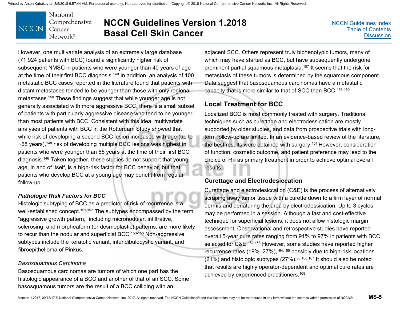National Comprehensive **NCCN** Cancer Network®

# **NCCN Guidelines Version 1.2018 Basal Cell Skin Cancer**

However, one multivariate analysis of an extremely large database (71,924 patients with BCC) found a significantly higher risk of subsequent NMSC in patients who were younger than 40 years of age at the time of their first BCC diagnosis.149 In addition, an analysis of 100 metastatic BCC cases reported in the literature found that patients with distant metastases tended to be younger than those with only regional metastases.150 These findings suggest that while younger age is not generally associated with more aggressive BCC, there is a small subset of patients with particularly aggressive disease who tend to be younger than most patients with BCC. Consistent with this idea, multivariate analyses of patients with BCC in the Rotterdam Study showed that while risk of developing a second BCC lesion increased with age (up to  $\sim$ 68 years),<sup>148</sup> risk of developing multiple BCC lesions was highest in patients who were younger than 65 years at the time of their first BCC diagnosis.146 Taken together, these studies do not support that young age, in and of itself, is a high-risk factor for BCC behavior, but that patients who develop BCC at a young age may benefit from regular follow-up.

#### *Pathologic Risk Factors for BCC*

Histologic subtyping of BCC as a predictor of risk of recurrence is a well-established concept.<sup>151,152</sup> The subtypes encompassed by the term "aggressive growth pattern," including micronodular, infiltrative, sclerosing, and morpheaform (or desmoplastic) patterns, are more likely to recur than the nodular and superficial BCC.<sup>153-156</sup> Non-aggressive subtypes include the keratotic variant, infundibulocystic variant, and fibroepithelioma of Pinkus.

#### *Basosquamous Carcinoma*

Basosquamous carcinomas are tumors of which one part has the histologic appearance of a BCC and another of that of an SCC. Some basosquamous tumors are the result of a BCC colliding with an

adjacent SCC. Others represent truly biphenotypic tumors, many of which may have started as BCC, but have subsequently undergone prominent partial squamous metaplasia.157 It seems that the risk for metastasis of these tumors is determined by the squamous component. Data suggest that basosquamous carcinomas have a metastatic capacity that is more similar to that of SCC than BCC.158-160

### **Local Treatment for BCC**

Localized BCC is most commonly treated with surgery. Traditional techniques such as curettage and electrodessication are mostly supported by older studies, and data from prospective trials with longterm follow-up are limited. In an evidence-based review of the literature, the best results were obtained with surgery.<sup>161</sup> However, consideration of function, cosmetic outcome, and patient preference may lead to the choice of RT as primary treatment in order to achieve optimal overall results.

### **Curettage and Electrodesiccation**

Curettage and electrodesiccation (C&E) is the process of alternatively scraping away tumor tissue with a curette down to a firm layer of normal dermis and denaturing the area by electrodessication. Up to 3 cycles may be performed in a session. Although a fast and cost-effective technique for superficial lesions, it does not allow histologic margin assessment. Observational and retrospective studies have reported overall 5-year cure rates ranging from 91% to 97% in patients with BCC selected for C&E.<sup>162,163</sup> However, some studies have reported higher recurrence rates  $(19\% - 27\%)$ ,  $164,165$  possibly due to high-risk locations (21%) and histologic subtypes (27%).83,166,167 It should also be noted that results are highly operator-dependent and optimal cure rates are achieved by experienced practitioners.168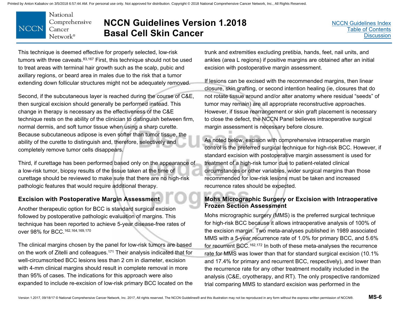National Comprehensive **NCCN** Cancer Network<sup>®</sup>

# **NCCN Guidelines Version 1.2018 Basal Cell Skin Cancer**

This technique is deemed effective for properly selected, low-risk tumors with three caveats. 83,167 First, this technique should not be used to treat areas with terminal hair growth such as the scalp, pubic and axillary regions, or beard area in males due to the risk that a tumor extending down follicular structures might not be adequately removed.

Second, if the subcutaneous layer is reached during the course of C&E, then surgical excision should generally be performed instead. This change in therapy is necessary as the effectiveness of the C&E technique rests on the ability of the clinician to distinguish between firm, normal dermis, and soft tumor tissue when using a sharp curette. Because subcutaneous adipose is even softer than tumor tissue, the ability of the curette to distinguish and, therefore, selectively and completely remove tumor cells disappears.

Third, if curettage has been performed based only on the appearance of a low-risk tumor, biopsy results of the tissue taken at the time of curettage should be reviewed to make sure that there are no high-risk pathologic features that would require additional therapy.

### **Excision with Postoperative Margin Assessment**

Another therapeutic option for BCC is standard surgical excision followed by postoperative pathologic evaluation of margins. This technique has been reported to achieve 5-year disease-free rates of over 98% for BCC.162,164,169,170

The clinical margins chosen by the panel for low-risk tumors are based on the work of Zitelli and colleagues.171 Their analysis indicated that for well-circumscribed BCC lesions less than 2 cm in diameter, excision with 4-mm clinical margins should result in complete removal in more than 95% of cases. The indications for this approach were also expanded to include re-excision of low-risk primary BCC located on the trunk and extremities excluding pretibia, hands, feet, nail units, and ankles (area L regions) if positive margins are obtained after an initial excision with postoperative margin assessment.

If lesions can be excised with the recommended margins, then linear closure, skin grafting, or second intention healing (ie, closures that do not rotate tissue around and/or alter anatomy where residual "seeds" of tumor may remain) are all appropriate reconstructive approaches. However, if tissue rearrangement or skin graft placement is necessary to close the defect, the NCCN Panel believes intraoperative surgical margin assessment is necessary before closure.

As noted below, excision with comprehensive intraoperative margin control is the preferred surgical technique for high-risk BCC. However, if standard excision with postoperative margin assessment is used for treatment of a high-risk tumor due to patient-related clinical circumstances or other variables, wider surgical margins than those recommended for low-risk lesions must be taken and increased recurrence rates should be expected.

#### **Mohs Micrographic Surgery or Excision with Intraoperative Frozen Section Assessment**

Mohs micrographic surgery (MMS) is the preferred surgical technique for high-risk BCC because it allows intraoperative analysis of 100% of the excision margin. Two meta-analyses published in 1989 associated MMS with a 5-year recurrence rate of 1.0% for primary BCC, and 5.6% for recurrent BCC.162,172 In both of these meta-analyses the recurrence rate for MMS was lower than that for standard surgical excision (10.1% and 17.4% for primary and recurrent BCC, respectively), and lower than the recurrence rate for any other treatment modality included in the analysis (C&E, cryotherapy, and RT). The only prospective randomized trial comparing MMS to standard excision was performed in the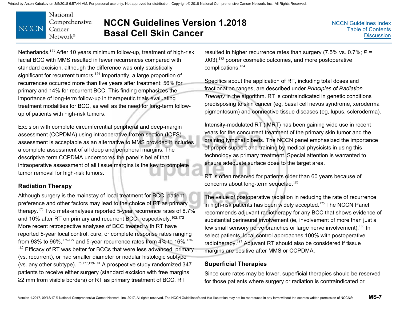

# **NCCN Guidelines Version 1.2018 Basal Cell Skin Cancer**

Netherlands.<sup>173</sup> After 10 years minimum follow-up, treatment of high-risk facial BCC with MMS resulted in fewer recurrences compared with standard excision, although the difference was only statistically significant for recurrent tumors.<sup>174</sup> Importantly, a large proportion of recurrences occurred more than five years after treatment: 56% for primary and 14% for recurrent BCC. This finding emphasizes the importance of long-term follow-up in therapeutic trials evaluating treatment modalities for BCC, as well as the need for long-term followup of patients with high-risk tumors.

Excision with complete circumferential peripheral and deep-margin assessment (CCPDMA) using intraoperative frozen section (IOFS) assessment is acceptable as an alternative to MMS provided it includes a complete assessment of all deep and peripheral margins. The descriptive term CCPDMA underscores the panel's belief that intraoperative assessment of all tissue margins is the key to complete tumor removal for high-risk tumors.

### **Radiation Therapy**

Although surgery is the mainstay of local treatment for BCC, patient preference and other factors may lead to the choice of RT as primary therapy.<sup>175</sup> Two meta-analyses reported 5-year recurrence rates of 8.7% and 10% after RT on primary and recurrent BCC, respectively.<sup>162,172</sup> More recent retrospective analyses of BCC treated with RT have reported 5-year local control, cure, or complete response rates ranging from 93% to 96%,  $176-179$  and 5-year recurrence rates from 4% to 16%.  $180 182$  Efficacy of RT was better for BCCs that were less advanced, primary (vs. recurrent), or had smaller diameter or nodular histologic subtype (vs. any other subtype).<sup>176,177,179-181</sup> A prospective study randomized 347 patients to receive either surgery (standard excision with free margins ≥2 mm from visible borders) or RT as primary treatment of BCC. RT

resulted in higher recurrence rates than surgery (7.5% vs. 0.7%; *P* <sup>=</sup> .003),<sup>183</sup> poorer cosmetic outcomes, and more postoperative complications.<sup>184</sup>

Specifics about the application of RT, including total doses and fractionation ranges, are described under *Principles of Radiation Therapy* in the algorithm. RT is contraindicated in genetic conditions predisposing to skin cancer (eg, basal cell nevus syndrome, xeroderma pigmentosum) and connective tissue diseases (eg, lupus, scleroderma).

Intensity-modulated RT (IMRT) has been gaining wide use in recent years for the concurrent treatment of the primary skin tumor and the draining lymphatic beds. The NCCN panel emphasized the importance of proper support and training by medical physicists in using this technology as primary treatment. Special attention is warranted to ensure adequate surface dose to the target area.

RT is often reserved for patients older than 60 years because of concerns about long-term sequelae.<sup>185</sup>

The value of postoperative radiation in reducing the rate of recurrence in high-risk patients has been widely accepted.<sup>175</sup> The NCCN Panel recommends adjuvant radiotherapy for any BCC that shows evidence of substantial perineural involvement (ie, involvement of more than just a few small sensory nerve branches or large nerve involvement).<sup>186</sup> In select patients, local control approaches 100% with postoperative radiotherapy.<sup>187</sup> Adjuvant RT should also be considered if tissue margins are positive after MMS or CCPDMA.

### **Superficial Therapies**

Since cure rates may be lower, superficial therapies should be reserved for those patients where surgery or radiation is contraindicated or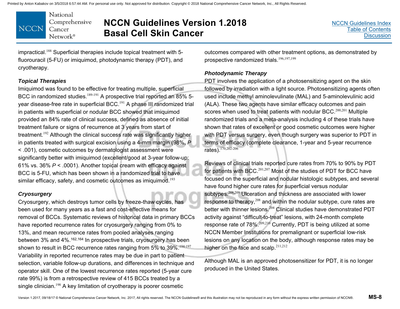National Comprehensive **NCCN** Cancer Network®

# **NCCN Guidelines Version 1.2018 Basal Cell Skin Cancer**

impractical.<sup>188</sup> Superficial therapies include topical treatment with 5fluorouracil (5-FU) or imiquimod, photodynamic therapy (PDT), and cryotherapy.

#### *Topical Therapies*

Imiquimod was found to be effective for treating multiple, superficial BCC in randomized studies.<sup>189-191</sup> A prospective trial reported an 85% 5year disease-free rate in superficial BCC.<sup>191</sup> A phase III randomized trial in patients with superficial or nodular BCC showed that imiquimod provided an 84% rate of clinical success, defined as absence of initial treatment failure or signs of recurrence at 3 years from start of treatment.<sup>192</sup> Although the clinical success rate was significantly higher in patients treated with surgical excision using a 4-mm margin (98%, *P* < .001), cosmetic outcomes by dermatologist assessment were significantly better with imiquimod (excellent/good at 3-year follow-up: 61% vs. 36% *P* < .0001). Another topical cream with efficacy against BCC is 5-FU, which has been shown in a randomized trial to have similar efficacy, safety, and cosmetic outcomes as imiquimod.<sup>193</sup>

#### *Cryosurgery*

Cryosurgery, which destroys tumor cells by freeze-thaw cycles, has been used for many years as a fast and cost-effective means for removal of BCCs. Systematic reviews of historical data in primary BCCs have reported recurrence rates for cryosurgery ranging from 0% to 13%, and mean recurrence rates from pooled analyses ranging between 3% and 4%.162,164 In prospective trials, cryosurgery has been shown to result in BCC recurrence rates ranging from 5% to 39%.<sup>194-197</sup> Variability in reported recurrence rates may be due in part to patient selection, variable follow-up durations, and differences in technique and operator skill. One of the lowest recurrence rates reported (5-year cure rate 99%) is from a retrospective review of 415 BCCs treated by a single clinician.<sup>198</sup> A key limitation of cryotherapy is poorer cosmetic

outcomes compared with other treatment options, as demonstrated by prospective randomized trials.<sup>196,197,199</sup>

#### *Photodynamic Therapy*

PDT involves the application of a photosensitizing agent on the skin followed by irradiation with a light source. Photosensitizing agents often used include methyl aminolevulinate (MAL) and 5-aminolevulinic acid (ALA). These two agents have similar efficacy outcomes and pain scores when used to treat patients with nodular BCC.<sup>200,201</sup> Multiple randomized trials and a meta-analysis including 4 of these trials have shown that rates of excellent or good cosmetic outcomes were higher with PDT versus surgery, even though surgery was superior to PDT in terms of efficacy (complete clearance, 1-year and 5-year recurrence rates).170,202-206

Reviews of clinical trials reported cure rates from 70% to 90% by PDT for patients with BCC.<sup>201,207</sup> Most of the studies of PDT for BCC have focused on the superficial and nodular histologic subtypes, and several have found higher cure rates for superficial versus nodular subtypes.<sup>208,209</sup> Ulceration and thickness are associated with lower response to therapy,<sup>208</sup> and within the nodular subtype, cure rates are better with thinner lesions. $^{204}$  Clinical studies have demonstrated PDT activity against "difficult-to-treat" lesions, with 24-month complete response rate of 78%.<sup>209,210</sup> Currently, PDT is being utilized at some NCCN Member Institutions for premalignant or superficial low-risk lesions on any location on the body, although response rates may be higher on the face and scalp. $211,212$ 

Although MAL is an approved photosensitizer for PDT, it is no longer produced in the United States.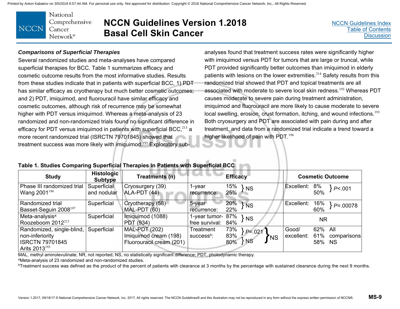National Comprehensive **NCCN** Cancer Network<sup>®</sup>

### **NCCN Guidelines Version 1.2018 Basal Cell Skin Cancer**

[NCCN Guidelines Index](http://www.nccn.org/professionals/physician_gls/f_guidelines.asp)[Table of Contents](#page-2-0)**[Discussion](#page-12-0)** 

#### *Comparisons of Superficial Therapies*

Several randomized studies and meta-analyses have compared superficial therapies for BCC. Table 1 summarizes efficacy and cosmetic outcome results from the most informative studies. Results from these studies indicate that in patients with superficial BCC, 1) PDT has similar efficacy as cryotherapy but much better cosmetic outcomes; and 2) PDT, imiquimod, and fluorouracil have similar efficacy and cosmetic outcomes, although risk of recurrence may be somewhat higher with PDT versus imiquimod. Whereas a meta-analysis of 23 randomized and non-randomized trials found no significant difference in efficacy for PDT versus imiquimod in patients with superficial BCC, $^{213}$  a more recent randomized trial (ISRCTN 79701845) showed that treatment success was more likely with imiquimod.<sup>193</sup> Exploratory subanalyses found that treatment success rates were significantly higher<br>with imiquimod versus PDT for tumors that are large or truncal, while<br>PDT provided significantly better outcomes than imiquimod in elderly<br>patients with associated with moderate to severe local skin redness.<sup>193</sup> Whereas PDT causes moderate to severe pain during treatment administration, imiquimod and fluorouracil are more likely to cause moderate to severe<br>local swelling, erosion, crust formation, itching, and wound infections.<sup>193</sup> Both cryosurgery and PDT are associated with pain during and after treatment, and data from a randomized trial indicate a trend toward a higher likelihood of pain with PDT.<sup>196</sup>

### **Table 1. Studies Comparing Superficial Therapies in Patients with Superficial BCC**

| <b>Study</b>                                                                                 | <b>Histologic</b><br><b>Subtype</b> | Treatments (n)                                                            |                                     | <b>Efficacy</b>                                          | <b>Cosmetic Outcome</b>                                        |
|----------------------------------------------------------------------------------------------|-------------------------------------|---------------------------------------------------------------------------|-------------------------------------|----------------------------------------------------------|----------------------------------------------------------------|
| Phase III randomized trial<br>Wang $2001^{196}$                                              | Superficial<br>and nodular          | Cryosurgery (39)<br>ALA-PDT (44)                                          | 1-year<br>recurrence:               | 15%<br><b>NS</b><br>25%                                  | Excellent:<br>8%<br>P< .001<br>50%                             |
| Randomized trial<br>Basset-Seguin 2008 <sup>197</sup>                                        | Superficial                         | Cryotherapy (58)<br>MAL-PDT (60)                                          | 5-year<br>recurrence:               | 20%<br>$\nmid$ NS<br>22%                                 | 16%<br>Excellent:<br>$P = 00078$<br>60%                        |
| Meta-analysis <sup>a</sup><br>Roozeboom $2012^{213}$                                         | Superficial                         | Imiquimod (1088)<br>PDT (934)                                             | 1-year tumor- 87%<br>free survival: | $\overline{\phantom{a}}$ NS<br>84%                       | <b>NR</b>                                                      |
| Randomized, single-blind,<br>non-inferiority<br><b>ISRCTN 79701845</b><br>Arits $2013^{193}$ | Superficial                         | <b>MAL-PDT (202)</b><br>Imiquimod cream (198)<br>Fluorouracil cream (201) | Treatment<br>success <sup>b</sup> : | 73%<br>$P = 021$<br>83%<br><b>T</b> NS<br>$\S$ NS<br>80% | 62% All<br>Good/<br>61%<br>excellent:<br>comparisons<br>58% NS |

MAL, methyl aminolevulinate; NR, not reported; NS, no statistically significant difference; PDT, photodynamic therapy. aMeta-analysis of 23 randomized and non-randomized studies.

<sup>b</sup>Treatment success was defined as the product of the percent of patients with clearance at 3 months by the percentage with sustained clearance during the next 9 months.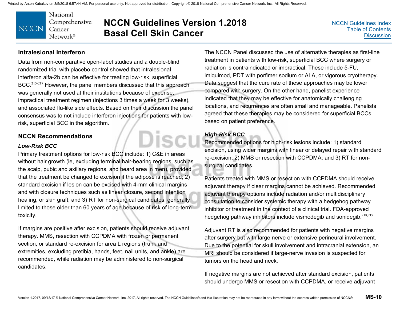National Comprehensive **NCCN** Cancer Network<sup>®</sup>

### **NCCN Guidelines Version 1.2018 Basal Cell Skin Cancer**

Discu

[NCCN Guidelines Index](http://www.nccn.org/professionals/physician_gls/f_guidelines.asp)[Table of Contents](#page-2-0)**[Discussion](#page-12-0)** 

#### **Intralesional Interferon**

Data from non-comparative open-label studies and a double-blind randomized trial with placebo control showed that intralesional interferon alfa-2b can be effective for treating low-risk, superficial BCC.<sup>215-217</sup> However, the panel members discussed that this approach was generally not used at their institutions because of expense, impractical treatment regimen (injections 3 times a week for 3 weeks), and associated flu-like side effects. Based on their discussion the panel consensus was to not include interferon injections for patients with lowrisk, superficial BCC in the algorithm.

#### **NCCN Recommendations**

#### *Low-Risk BCC*

Primary treatment options for low-risk BCC include: 1) C&E in areas without hair growth (ie, excluding terminal hair-bearing regions, such as the scalp, pubic and axillary regions, and beard area in men), provided that the treatment be changed to excision if the adipose is reached; 2) standard excision if lesion can be excised with 4-mm clinical margins and with closure techniques such as linear closure, second intention healing, or skin graft; and 3) RT for non-surgical candidates, generally limited to those older than 60 years of age because of risk of long-term toxicity.

If margins are positive after excision, patients should receive adjuvant therapy. MMS, resection with CCPDMA with frozen or permanent section, or standard re-excision for area L regions (trunk and extremities, excluding pretibia, hands, feet, nail units, and ankle) are recommended, while radiation may be administered to non-surgical candidates.

The NCCN Panel discussed the use of alternative therapies as first-line treatment in patients with low-risk, superficial BCC where surgery or radiation is contraindicated or impractical. These include 5-FU, imiquimod, PDT with porfimer sodium or ALA, or vigorous cryotherapy. Data suggest that the cure rate of these approaches may be lower compared with surgery. On the other hand, panelist experience indicated that they may be effective for anatomically challenging locations, and recurrences are often small and manageable. Panelists agreed that these therapies may be considered for superficial BCCs based on patient preference.

### *High-Risk BCC*

Recommended options for high-risk lesions include: 1) standard excision, using wider margins with linear or delayed repair with standard re-excision; 2) MMS or resection with CCPDMA; and 3) RT for nonsurgical candidates.

Patients treated with MMS or resection with CCPDMA should receive adjuvant therapy if clear margins cannot be achieved. Recommended adjuvant therapy options include radiation and/or multidisciplinary consultation to consider systemic therapy with a hedgehog pathway inhibitor or treatment in the context of a clinical trial. FDA-approved hedgehog pathway inhibitors include vismodegib and sonidegib.218,219

Adjuvant RT is also recommended for patients with negative margins after surgery but with large nerve or extensive perineural involvement. Due to the potential for skull involvement and intracranial extension, an MRI should be considered if large-nerve invasion is suspected for tumors on the head and neck.

If negative margins are not achieved after standard excision, patients should undergo MMS or resection with CCPDMA, or receive adjuvant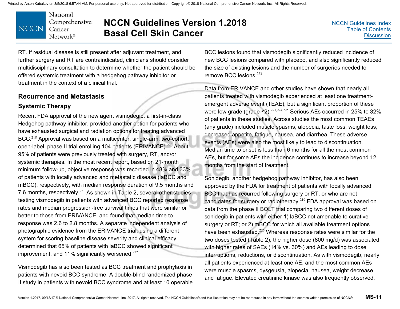

# **NCCN Guidelines Version 1.2018 Basal Cell Skin Cancer**

[NCCN Guidelines Index](http://www.nccn.org/professionals/physician_gls/f_guidelines.asp)[Table of Contents](#page-2-0)**[Discussion](#page-12-0)** 

RT. If residual disease is still present after adjuvant treatment, and further surgery and RT are contraindicated, clinicians should consider multidisciplinary consultation to determine whether the patient should be offered systemic treatment with a hedgehog pathway inhibitor or treatment in the context of a clinical trial.

### **Recurrence and Metastasis**

### **Systemic Therapy**

Recent FDA approval of the new agent vismodegib, a first-in-class Hedgehog pathway inhibitor, provided another option for patients who have exhausted surgical and radiation options for treating advanced BCC.<sup>218</sup> Approval was based on a multicenter, single-arm, two-cohort, open-label, phase II trial enrolling 104 patients (ERIVANCE).<sup>220</sup> About 95% of patients were previously treated with surgery, RT, and/or systemic therapies. In the most recent report, based on 21-month minimum follow-up, objective response was recorded in 48% and 33% of patients with locally advanced and metastatic disease (laBCC and mBCC), respectively, with median response duration of 9.5 months and 7.6 months, respectively.<sup>221</sup> As shown in Table 2, several other studies testing vismodegib in patients with advanced BCC reported response rates and median progression-free survival times that were similar or better to those from ERIVANCE, and found that median time to response was 2.6 to 2.8 months. A separate independent analysis of photographic evidence from the ERIVANCE trial, using a different system for scoring baseline disease severity and clinical efficacy, determined that 65% of patients with laBCC showed significant improvement, and 11% significantly worsened. $222$ 

Vismodegib has also been tested as BCC treatment and prophylaxis in patients with nevoid BCC syndrome. A double-blind randomized phase II study in patients with nevoid BCC syndrome and at least 10 operable

BCC lesions found that vismodegib significantly reduced incidence of new BCC lesions compared with placebo, and also significantly reduced the size of existing lesions and the number of surgeries needed to remove BCC lesions.<sup>223</sup>

Data from ERIVANCE and other studies have shown that nearly all patients treated with vismodegib experienced at least one treatmentemergent adverse event (TEAE), but a significant proportion of these were low grade (grade  $\leq$ 2).<sup>221,224,225</sup> Serious AEs occurred in 25% to 32% of patients in these studies. Across studies the most common TEAEs (any grade) included muscle spasms, alopecia, taste loss, weight loss, decreased appetite, fatigue, nausea, and diarrhea. These adverse events (AEs) were also the most likely to lead to discontinuation. Median time to onset is less than 6 months for all the most common AEs, but for some AEs the incidence continues to increase beyond 12 months from the start of treatment.

Sonidegib, another hedgehog pathway inhibitor, has also been approved by the FDA for treatment of patients with locally advanced BCC that has recurred following surgery or RT, or who are not candidates for surgery or radiotherapy.<sup>219</sup> FDA approval was based on data from the phase II BOLT trial comparing two different doses of sonidegib in patients with either 1) laBCC not amenable to curative surgery or RT; or 2) mBCC for which all available treatment options have been exhausted.<sup>226</sup> Whereas response rates were similar for the two doses tested (Table 2), the higher dose (800 mg/d) was associated with higher rates of SAEs (14% vs. 30%) and AEs leading to dose interruptions, reductions, or discontinuation. As with vismodegib, nearly all patients experienced at least one AE, and the most common AEs were muscle spasms, dysgeusia, alopecia, nausea, weight decrease, and fatigue. Elevated creatinine kinase was also frequently observed,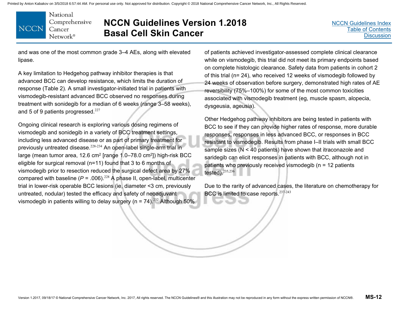National Comprehensive **NCCN** Cancer Network®

# **NCCN Guidelines Version 1.2018 Basal Cell Skin Cancer**

[NCCN Guidelines Index](http://www.nccn.org/professionals/physician_gls/f_guidelines.asp)[Table of Contents](#page-2-0) **[Discussion](#page-12-0)** 

and was one of the most common grade 3–4 AEs, along with elevated lipase.

A key limitation to Hedgehog pathway inhibitor therapies is that advanced BCC can develop resistance, which limits the duration of response (Table 2). A small investigator-initiated trial in patients with vismodegib-resistant advanced BCC observed no responses during treatment with sonidegib for a median of 6 weeks (range 3–58 weeks), and 5 of 9 patients progressed. $227$ 

Ongoing clinical research is exploring various dosing regimens of vismodegib and sonidegib in a variety of BCC treatment settings, including less advanced disease or as part of primary treatment for previously untreated disease. $228-234$  An open-label single-arm trial in large (mean tumor area, 12.6 cm<sup>2</sup> [range 1.0–78.0 cm<sup>2</sup>]) high-risk BCC eligible for surgical removal (n=11) found that 3 to 6 months of vismodegib prior to resection reduced the surgical defect area by 27% compared with baseline ( $P = .006$ ).<sup>228</sup> A phase II, open-label, multicenter trial in lower-risk operable BCC lesions (ie, diameter <3 cm, previously untreated, nodular) tested the efficacy and safety of neoadjuvant vismodegib in patients willing to delay surgery ( $n = 74$ ).<sup>232</sup> Although 50%

of patients achieved investigator-assessed complete clinical clearance while on vismodegib, this trial did not meet its primary endpoints based on complete histologic clearance. Safety data from patients in cohort 2 of this trial (n= 24), who received 12 weeks of vismodegib followed by 24 weeks of observation before surgery, demonstrated high rates of AE reversibility (75%–100%) for some of the most common toxicities associated with vismodegib treatment (eg, muscle spasm, alopecia, dysgeusia, ageusia).

Other Hedgehog pathway inhibitors are being tested in patients with BCC to see if they can provide higher rates of response, more durable responses, responses in less advanced BCC, or responses in BCC resistant to vismodegib. Results from phase I–II trials with small BCC sample sizes (N < 40 patients) have shown that itraconazole and saridegib can elicit responses in patients with BCC, although not in patients who previously received vismodegib (n = 12 patients tested).235,236

Due to the rarity of advanced cases, the literature on chemotherapy for BCC is limited to case reports.<sup>237-243</sup>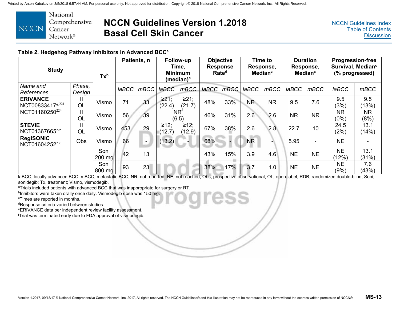

### **NCCN Guidelines Version 1.2018 Basal Cell Skin Cancer**

#### **Table 2. Hedgehog Pathway Inhibitors in Advanced BCCa**

| <b>Study</b>                                    |                  | Tx <sup>b</sup>          | Patients, n |                | Follow-up<br>Time,<br><b>Minimum</b><br>(median) $c$ |                      | <b>Objective</b><br><b>Response</b><br>Rate <sup>d</sup> |      | <b>Time to</b><br>Response,<br><b>Median<sup>c</sup></b> |           | <b>Duration</b><br>Response,<br>Median <sup>c</sup> |           | <b>Progression-free</b><br>Survival, Median <sup>c</sup><br>(% progressed) |                   |
|-------------------------------------------------|------------------|--------------------------|-------------|----------------|------------------------------------------------------|----------------------|----------------------------------------------------------|------|----------------------------------------------------------|-----------|-----------------------------------------------------|-----------|----------------------------------------------------------------------------|-------------------|
| Name and<br>References                          | Phase,<br>Design |                          | IaBCC       | mBCC           | <b>laBCC</b>                                         | mBCC                 | $I$ a $BCC$                                              | mBCC | <b>laBCC</b>                                             | mBCC      | <b>laBCC</b>                                        | mBCC      | <b>laBCC</b>                                                               | mBCC              |
| <b>ERIVANCE</b><br>NCT00833417 <sup>e,221</sup> | OL               | Vismo                    | 71          | 33             | $\geq 21$ ;<br>(22.4)                                | $\geq$ 21;<br>(21.7) | 48%                                                      | 33%  | <b>NR</b>                                                | <b>NR</b> | 9.5                                                 | 7.6       | 9.5<br>(3%)                                                                | 9.5<br>13%        |
| NCT01160250 <sup>224</sup>                      | <b>OL</b>        | Vismo                    | 56          | 39             | <b>NRf</b><br>(6.5)                                  |                      | 46%                                                      | 31%  | 2.6                                                      | 2.6       | <b>NR</b>                                           | <b>NR</b> | <b>NR</b><br>(0%)                                                          | <b>NR</b><br>(8%) |
| <b>STEVIE</b><br>NCT01367665 <sup>225</sup>     | <b>OL</b>        | Vismo                    | 453         | 29             | ≥12;<br>(12.7)                                       | ≥12;<br>(12.9)       | 67%                                                      | 38%  | 2.6                                                      | 2.8       | 22.7                                                | 10        | 24.5<br>(2%)                                                               | 13.1<br>(14%)     |
| <b>RegiSONIC</b><br>NCT01604252 <sup>233</sup>  | Obs              | Vismo                    | 66          | $\blacksquare$ | (13.2)                                               |                      | 68%                                                      |      | <b>NR</b>                                                |           | 5.95                                                |           | <b>NE</b>                                                                  |                   |
|                                                 |                  | Soni<br>$200 \text{ mg}$ | 42          | 13             |                                                      |                      | 43%                                                      | 15%  | 3.9                                                      | 4.6       | <b>NE</b>                                           | <b>NE</b> | <b>NE</b><br>(12%)                                                         | 13.1<br>(31%)     |
|                                                 |                  | Soni<br>800 mg           | 93          | 23             |                                                      |                      | 38%                                                      | 17%  | 3.7                                                      | 1.0       | <b>NE</b>                                           | <b>NE</b> | <b>NE</b><br>(9%)                                                          | 7.6<br>(43%)      |

laBCC, locally advanced BCC; mBCC, metastatic BCC; NR, not reported; NE, not reached; Obs, prospective observational; OL, open-label; RDB, randomized double-blind; Soni, sonidegib; Tx, treatment; Vismo, vismodegib.

aTrials included patients with advanced BCC that was inappropriate for surgery or RT.

bInhibitors were taken orally once daily. Vismodegib dose was 150 mg.

cTimes are reported in months.

dResponse criteria varied between studies.

eERIVANCE data per independent review facility assessment.

fTrial was terminated early due to FDA approval of vismodegib.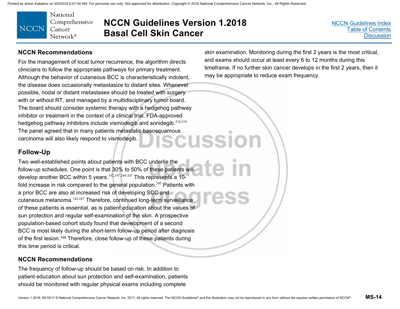

### **NCCN Guidelines Version 1.2018 Basal Cell Skin Cancer**

[NCCN Guidelines Index](http://www.nccn.org/professionals/physician_gls/f_guidelines.asp)[Table of Contents](#page-2-0) **[Discussion](#page-12-0)** 

#### **NCCN Recommendations**

For the management of local tumor recurrence, the algorithm directs clinicians to follow the appropriate pathways for primary treatment. Although the behavior of cutaneous BCC is characteristically indolent, the disease does occasionally metastasize to distant sites. Whenever possible, nodal or distant metastases should be treated with surgery with or without RT, and managed by a multidisciplinary tumor board. The board should consider systemic therapy with a hedgehog pathway inhibitor or treatment in the context of a clinical trial. FDA-approved hedgehog pathway inhibitors include vismodegib and sonidegib.218,219 The panel agreed that in many patients metastatic basosquamous<br>carcinoma will also likely respond to vismodegib. carcinoma will also likely respond to vismodegib.

#### skin examination. Monitoring during the first 2 years is the most critical, and exams should occur at least every 6 to 12 months during this timeframe. If no further skin cancer develops in the first 2 years, then it may be appropriate to reduce exam frequency.

### **Follow-Up**

Two well-established points about patients with BCC underlie the follow-up schedules. One point is that 30% to 50% of these patients will develop another BCC within 5 years.<sup>142,147,244-247</sup> This represents a 10fold increase in risk compared to the general population.<sup>245</sup> Patients with a prior BCC are also at increased risk of developing SCC and cutaneous melanoma.142,247 Therefore, continued long-term surveillance of these patients is essential, as is patient education about the values of sun protection and regular self-examination of the skin. A prospective population-based cohort study found that development of a second BCC is most likely during the short-term follow-up period after diagnosis of the first lesion.146 Therefore, close follow-up of these patients during this time period is critical.

#### **NCCN Recommendations**

The frequency of follow-up should be based on risk. In addition to patient education about sun protection and self-examination, patients should be monitored with regular physical exams including complete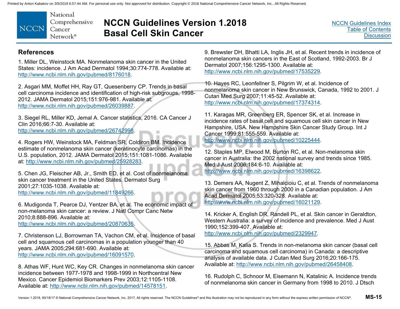

# **NCCN Guidelines Version 1.2018 Basal Cell Skin Cancer**

#### **References**

1. Miller DL, Weinstock MA. Nonmelanoma skin cancer in the United States: incidence. J Am Acad Dermatol 1994;30:774-778. Available at: http://www.ncbi.nlm.nih.gov/pubmed/8176018.

2. Asgari MM, Moffet HH, Ray GT, Quesenberry CP. Trends in basal cell carcinoma incidence and identification of high-risk subgroups, 1998- 2012. JAMA Dermatol 2015;151:976-981. Available at: http://www.ncbi.nlm.nih.gov/pubmed/26039887.

3. Siegel RL, Miller KD, Jemal A. Cancer statistics, 2016. CA Cancer J Clin 2016;66:7-30. Available at: http://www.ncbi.nlm.nih.gov/pubmed/26742998.

4. Rogers HW, Weinstock MA, Feldman SR, Coldiron BM. Incidence estimate of nonmelanoma skin cancer (keratinocyte carcinomas) in the U.S. population, 2012. JAMA Dermatol 2015;151:1081-1086. Available at: http://www.ncbi.nlm.nih.gov/pubmed/25928283.

5. Chen JG, Fleischer AB, Jr., Smith ED, et al. Cost of nonmelanoma skin cancer treatment in the United States. Dermatol Surg 2001;27:1035-1038. Available at: http://www.ncbi.nlm.nih.gov/pubmed/11849266.

6. Mudigonda T, Pearce DJ, Yentzer BA, et al. The economic impact of non-melanoma skin cancer: a review. J Natl Compr Canc Netw 2010;8:888-896. Available at: http://www.ncbi.nlm.nih.gov/pubmed/20870635.

7. Christenson LJ, Borrowman TA, Vachon CM, et al. Incidence of basal cell and squamous cell carcinomas in a population younger than 40 years. JAMA 2005;294:681-690. Available at: http://www.ncbi.nlm.nih.gov/pubmed/16091570.

8. Athas WF, Hunt WC, Key CR. Changes in nonmelanoma skin cancer incidence between 1977-1978 and 1998-1999 in Northcentral New Mexico. Cancer Epidemiol Biomarkers Prev 2003;12:1105-1108. Available at: http://www.ncbi.nlm.nih.gov/pubmed/14578151.

9. Brewster DH, Bhatti LA, Inglis JH, et al. Recent trends in incidence of nonmelanoma skin cancers in the East of Scotland, 1992-2003. Br J Dermatol 2007;156:1295-1300. Available at: http://www.ncbi.nlm.nih.gov/pubmed/17535229.

10. Hayes RC, Leonfellner S, Pilgrim W, et al. Incidence of nonmelanoma skin cancer in New Brunswick, Canada, 1992 to 2001. J Cutan Med Surg 2007;11:45-52. Available at: http://www.ncbi.nlm.nih.gov/pubmed/17374314.

11. Karagas MR, Greenberg ER, Spencer SK, et al. Increase in incidence rates of basal cell and squamous cell skin cancer in New Hampshire, USA. New Hampshire Skin Cancer Study Group. Int J Cancer 1999;81:555-559. Available at: http://www.ncbi.nlm.nih.gov/pubmed/10225444.

12. Staples MP, Elwood M, Burton RC, et al. Non-melanoma skin cancer in Australia: the 2002 national survey and trends since 1985. Med J Aust 2006;184:6-10. Available at: http://www.ncbi.nlm.nih.gov/pubmed/16398622.

13. Demers AA, Nugent Z, Mihalcioiu C, et al. Trends of nonmelanoma skin cancer from 1960 through 2000 in a Canadian population. J Am Acad Dermatol 2005;53:320-328. Available at: http://www.ncbi.nlm.nih.gov/pubmed/16021129.

14. Kricker A, English DR, Randell PL, et al. Skin cancer in Geraldton, Western Australia: a survey of incidence and prevalence. Med J Aust 1990;152:399-407. Available at: http://www.ncbi.nlm.nih.gov/pubmed/2329947.

15. Abbas M, Kalia S. Trends in non-melanoma skin cancer (basal cell carcinoma and squamous cell carcinoma) in Canada: a descriptive analysis of available data. J Cutan Med Surg 2016;20:166-175. Available at: http://www.ncbi.nlm.nih.gov/pubmed/26458408.

16. Rudolph C, Schnoor M, Eisemann N, Katalinic A. Incidence trends of nonmelanoma skin cancer in Germany from 1998 to 2010. J Dtsch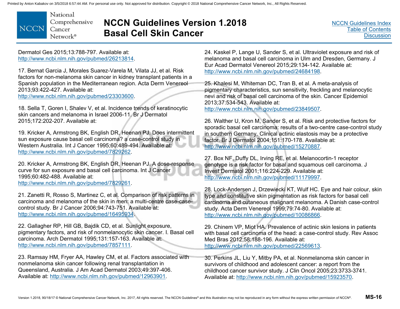National Comprehensive **NCCN** Cancer Network<sup>®</sup>

# **NCCN Guidelines Version 1.2018 Basal Cell Skin Cancer**

Dermatol Ges 2015;13:788-797. Available at: http://www.ncbi.nlm.nih.gov/pubmed/26213814.

17. Bernat Garcia J, Morales Suarez-Varela M, Vilata JJ, et al. Risk factors for non-melanoma skin cancer in kidney transplant patients in a Spanish population in the Mediterranean region. Acta Derm Venereol 2013;93:422-427. Available at:

http://www.ncbi.nlm.nih.gov/pubmed/23303600.

18. Sella T, Goren I, Shalev V, et al. Incidence trends of keratinocytic skin cancers and melanoma in Israel 2006-11. Br J Dermatol 2015;172:202-207. Available at:

19. Kricker A, Armstrong BK, English DR, Heenan PJ. Does intermittent sun exposure cause basal cell carcinoma? a case-control study in Western Australia. Int J Cancer 1995;60:489-494. Available at: http://www.ncbi.nlm.nih.gov/pubmed/7829262.

20. Kricker A, Armstrong BK, English DR, Heenan PJ. A dose-response curve for sun exposure and basal cell carcinoma. Int J Cancer 1995;60:482-488. Available at: http://www.ncbi.nlm.nih.gov/pubmed/7829261.

21. Zanetti R, Rosso S, Martinez C, et al. Comparison of risk patterns in carcinoma and melanoma of the skin in men: a multi-centre case-casecontrol study. Br J Cancer 2006;94:743-751. Available at: http://www.ncbi.nlm.nih.gov/pubmed/16495934.

22. Gallagher RP, Hill GB, Bajdik CD, et al. Sunlight exposure, pigmentary factors, and risk of nonmelanocytic skin cancer. I. Basal cell carcinoma. Arch Dermatol 1995;131:157-163. Available at: http://www.ncbi.nlm.nih.gov/pubmed/7857111.

23. Ramsay HM, Fryer AA, Hawley CM, et al. Factors associated with nonmelanoma skin cancer following renal transplantation in Queensland, Australia. J Am Acad Dermatol 2003;49:397-406. Available at: http://www.ncbi.nlm.nih.gov/pubmed/12963901.

24. Kaskel P, Lange U, Sander S, et al. Ultraviolet exposure and risk of melanoma and basal cell carcinoma in Ulm and Dresden, Germany. J Eur Acad Dermatol Venereol 2015;29:134-142. Available at: http://www.ncbi.nlm.nih.gov/pubmed/24684198.

25. Khalesi M, Whiteman DC, Tran B, et al. A meta-analysis of pigmentary characteristics, sun sensitivity, freckling and melanocytic nevi and risk of basal cell carcinoma of the skin. Cancer Epidemiol 2013;37:534-543. Available at:

http://www.ncbi.nlm.nih.gov/pubmed/23849507.

26. Walther U, Kron M, Sander S, et al. Risk and protective factors for sporadic basal cell carcinoma: results of a two-centre case-control study in southern Germany. Clinical actinic elastosis may be a protective factor. Br J Dermatol 2004;151:170-178. Available at: http://www.ncbi.nlm.nih.gov/pubmed/15270887.

27. Box NF, Duffy DL, Irving RE, et al. Melanocortin-1 receptor genotype is a risk factor for basal and squamous cell carcinoma. J Invest Dermatol 2001;116:224-229. Available at: http://www.ncbi.nlm.nih.gov/pubmed/11179997.

28. Lock-Andersen J, Drzewiecki KT, Wulf HC. Eye and hair colour, skin type and constitutive skin pigmentation as risk factors for basal cell carcinoma and cutaneous malignant melanoma. A Danish case-control study. Acta Derm Venereol 1999;79:74-80. Available at: http://www.ncbi.nlm.nih.gov/pubmed/10086866.

29. Chinem VP, Miot HA. Prevalence of actinic skin lesions in patients with basal cell carcinoma of the head: a case-control study. Rev Assoc Med Bras 2012:58:188-196. Available at: http://www.ncbi.nlm.nih.gov/pubmed/22569613.

30. Perkins JL, Liu Y, Mitby PA, et al. Nonmelanoma skin cancer in survivors of childhood and adolescent cancer: a report from the childhood cancer survivor study. J Clin Oncol 2005;23:3733-3741. Available at: http://www.ncbi.nlm.nih.gov/pubmed/15923570.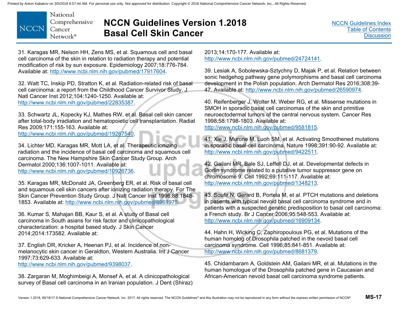

### **NCCN Guidelines Version 1.2018 Basal Cell Skin Cancer**

31. Karagas MR, Nelson HH, Zens MS, et al. Squamous cell and basal cell carcinoma of the skin in relation to radiation therapy and potential modification of risk by sun exposure. Epidemiology 2007;18:776-784. Available at: http://www.ncbi.nlm.nih.gov/pubmed/17917604.

32. Watt TC, Inskip PD, Stratton K, et al. Radiation-related risk of basal cell carcinoma: a report from the Childhood Cancer Survivor Study. J Natl Cancer Inst 2012;104:1240-1250. Available at: http://www.ncbi.nlm.nih.gov/pubmed/22835387.

33. Schwartz JL, Kopecky KJ, Mathes RW, et al. Basal cell skin cancer after total-body irradiation and hematopoietic cell transplantation. Radiat Res 2009;171:155-163. Available at: http://www.ncbi.nlm.nih.gov/pubmed/19267540.

34. Lichter MD, Karagas MR, Mott LA, et al. Therapeutic ionizing radiation and the incidence of basal cell carcinoma and squamous cell carcinoma. The New Hampshire Skin Cancer Study Group. Arch Dermatol 2000;136:1007-1011. Available at: http://www.ncbi.nlm.nih.gov/pubmed/10926736.

35. Karagas MR, McDonald JA, Greenberg ER, et al. Risk of basal cell and squamous cell skin cancers after ionizing radiation therapy. For The Skin Cancer Prevention Study Group. J Natl Cancer Inst 1996;88:1848- 1853. Available at: http://www.ncbi.nlm.nih.gov/pubmed/8961975.

36. Kumar S, Mahajan BB, Kaur S, et al. A study of Basal cell carcinoma in South asians for risk factor and clinicopathological characterization: a hospital based study. J Skin Cancer 2014;2014:173582. Available at:

37. English DR, Kricker A, Heenan PJ, et al. Incidence of nonmelanocytic skin cancer in Geraldton, Western Australia. Int J Cancer 1997;73:629-633. Available at:

http://www.ncbi.nlm.nih.gov/pubmed/9398037.

38. Zargaran M, Moghimbeigi A, Monsef A, et al. A clinicopathological survey of Basal cell carcinoma in an Iranian population. J Dent (Shiraz)

2013;14:170-177. Available at: http://www.ncbi.nlm.nih.gov/pubmed/24724141.

39. Lesiak A, Sobolewska-Sztychny D, Majak P, et al. Relation between sonic hedgehog pathway gene polymorphisms and basal cell carcinoma development in the Polish population. Arch Dermatol Res 2016;308:39- 47. Available at: http://www.ncbi.nlm.nih.gov/pubmed/26590974.

40. Reifenberger J, Wolter M, Weber RG, et al. Missense mutations in SMOH in sporadic basal cell carcinomas of the skin and primitive neuroectodermal tumors of the central nervous system. Cancer Res 1998;58:1798-1803. Available at:

http://www.ncbi.nlm.nih.gov/pubmed/9581815.

41. Xie J, Murone M, Luoh SM, et al. Activating Smoothened mutations in sporadic basal-cell carcinoma. Nature 1998;391:90-92. Available at: http://www.ncbi.nlm.nih.gov/pubmed/9422511.

42. Gailani MR, Bale SJ, Leffell DJ, et al. Developmental defects in Gorlin syndrome related to a putative tumor suppressor gene on chromosome 9. Cell 1992;69:111-117. Available at: http://www.ncbi.nlm.nih.gov/pubmed/1348213.

43. Soufir N, Gerard B, Portela M, et al. PTCH mutations and deletions in patients with typical nevoid basal cell carcinoma syndrome and in patients with a suspected genetic predisposition to basal cell carcinoma: a French study. Br J Cancer 2006;95:548-553. Available at: http://www.ncbi.nlm.nih.gov/pubmed/16909134.

44. Hahn H, Wicking C, Zaphiropoulous PG, et al. Mutations of the human homolog of Drosophila patched in the nevoid basal cell carcinoma syndrome. Cell 1996;85:841-851. Available at: http://www.ncbi.nlm.nih.gov/pubmed/8681379.

45. Chidambaram A, Goldstein AM, Gailani MR, et al. Mutations in the human homologue of the Drosophila patched gene in Caucasian and African-American nevoid basal cell carcinoma syndrome patients.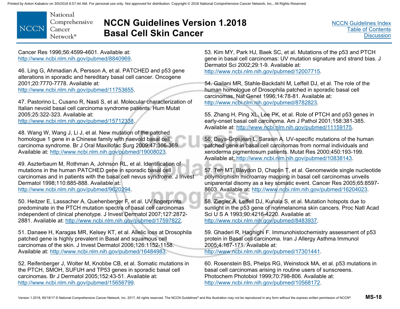National Comprehensive **NCCN** Cancer Network<sup>®</sup>

# **NCCN Guidelines Version 1.2018 Basal Cell Skin Cancer**

Cancer Res 1996;56:4599-4601. Available at: http://www.ncbi.nlm.nih.gov/pubmed/8840969.

46. Ling G, Ahmadian A, Persson A, et al. PATCHED and p53 gene alterations in sporadic and hereditary basal cell cancer. Oncogene 2001;20:7770-7778. Available at: http://www.ncbi.nlm.nih.gov/pubmed/11753655.

47. Pastorino L, Cusano R, Nasti S, et al. Molecular characterization of Italian nevoid basal cell carcinoma syndrome patients. Hum Mutat 2005;25:322-323. Available at:

http://www.ncbi.nlm.nih.gov/pubmed/15712338.

48. Wang W, Wang J, Li J, et al. New mutation of the patched homologue 1 gene in a Chinese family with naevoid basal cell carcinoma syndrome. Br J Oral Maxillofac Surg 2009;47:366-369. Available at: http://www.ncbi.nlm.nih.gov/pubmed/19008023.

49. Aszterbaum M, Rothman A, Johnson RL, et al. Identification of mutations in the human PATCHED gene in sporadic basal cell carcinomas and in patients with the basal cell nevus syndrome. J Invest Dermatol 1998;110:885-888. Available at: http://www.ncbi.nlm.nih.gov/pubmed/9620294.

50. Heitzer E, Lassacher A, Quehenberger F, et al. UV fingerprints predominate in the PTCH mutation spectra of basal cell carcinomas independent of clinical phenotype. J Invest Dermatol 2007;127:2872- 2881. Available at: http://www.ncbi.nlm.nih.gov/pubmed/17597822.

51. Danaee H, Karagas MR, Kelsey KT, et al. Allelic loss at Drosophila patched gene is highly prevalent in Basal and squamous cell carcinomas of the skin. J Invest Dermatol 2006;126:1152-1158. Available at: http://www.ncbi.nlm.nih.gov/pubmed/16484983.

52. Reifenberger J, Wolter M, Knobbe CB, et al. Somatic mutations in the PTCH, SMOH, SUFUH and TP53 genes in sporadic basal cell carcinomas. Br J Dermatol 2005;152:43-51. Available at: http://www.ncbi.nlm.nih.gov/pubmed/15656799.

53. Kim MY, Park HJ, Baek SC, et al. Mutations of the p53 and PTCH gene in basal cell carcinomas: UV mutation signature and strand bias. J Dermatol Sci 2002;29:1-9. Available at: http://www.ncbi.nlm.nih.gov/pubmed/12007715.

54. Gailani MR, Stahle-Backdahl M, Leffell DJ, et al. The role of the human homologue of Drosophila patched in sporadic basal cell carcinomas. Nat Genet 1996;14:78-81. Available at: http://www.ncbi.nlm.nih.gov/pubmed/8782823.

55. Zhang H, Ping XL, Lee PK, et al. Role of PTCH and p53 genes in early-onset basal cell carcinoma. Am J Pathol 2001;158:381-385. Available at: http://www.ncbi.nlm.nih.gov/pubmed/11159175.

56. Daya-Grosjean L, Sarasin A. UV-specific mutations of the human patched gene in basal cell carcinomas from normal individuals and xeroderma pigmentosum patients. Mutat Res 2000;450:193-199. Available at: http://www.ncbi.nlm.nih.gov/pubmed/10838143.

57. Teh MT, Blaydon D, Chaplin T, et al. Genomewide single nucleotide polymorphism microarray mapping in basal cell carcinomas unveils uniparental disomy as a key somatic event. Cancer Res 2005;65:8597- 8603. Available at: http://www.ncbi.nlm.nih.gov/pubmed/16204023.

58. Ziegler A, Leffell DJ, Kunala S, et al. Mutation hotspots due to sunlight in the p53 gene of nonmelanoma skin cancers. Proc Natl Acad Sci U S A 1993;90:4216-4220. Available at: http://www.ncbi.nlm.nih.gov/pubmed/8483937.

59. Ghaderi R, Haghighi F. Immunohistochemistry assessment of p53 protein in Basal cell carcinoma. Iran J Allergy Asthma Immunol 2005;4:167-171. Available at: http://www.ncbi.nlm.nih.gov/pubmed/17301441.

60. Rosenstein BS, Phelps RG, Weinstock MA, et al. p53 mutations in basal cell carcinomas arising in routine users of sunscreens. Photochem Photobiol 1999;70:798-806. Available at: http://www.ncbi.nlm.nih.gov/pubmed/10568172.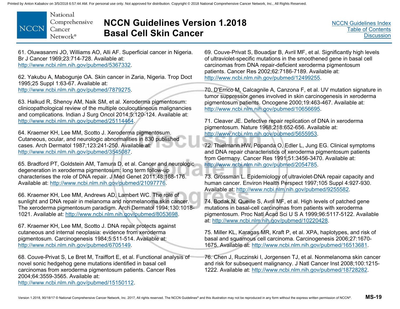National Comprehensive **NCCN** Cancer Network®

# **NCCN Guidelines Version 1.2018 Basal Cell Skin Cancer**

[NCCN Guidelines Index](http://www.nccn.org/professionals/physician_gls/f_guidelines.asp)[Table of Contents](#page-2-0)**[Discussion](#page-12-0)** 

61. Oluwasanmi JO, Williams AO, Alli AF. Superficial cancer in Nigeria. Br J Cancer 1969;23:714-728. Available at: http://www.ncbi.nlm.nih.gov/pubmed/5367332.

62. Yakubu A, Mabogunje OA. Skin cancer in Zaria, Nigeria. Trop Doct 1995;25 Suppl 1:63-67. Available at: http://www.ncbi.nlm.nih.gov/pubmed/7879275.

63. Halkud R, Shenoy AM, Naik SM, et al. Xeroderma pigmentosum: clinicopathological review of the multiple oculocutaneous malignancies and complications. Indian J Surg Oncol 2014;5:120-124. Available at: http://www.ncbi.nlm.nih.gov/pubmed/25114464.

64. Kraemer KH, Lee MM, Scotto J. Xeroderma pigmentosum. Cutaneous, ocular, and neurologic abnormalities in 830 published cases. Arch Dermatol 1987;123:241-250. Available at: http://www.ncbi.nlm.nih.gov/pubmed/3545087.

65. Bradford PT, Goldstein AM, Tamura D, et al. Cancer and neurologic degeneration in xeroderma pigmentosum: long term follow-up characterises the role of DNA repair. J Med Genet 2011;48:168-176. Available at: http://www.ncbi.nlm.nih.gov/pubmed/21097776.

66. Kraemer KH, Lee MM, Andrews AD, Lambert WC. The role of sunlight and DNA repair in melanoma and nonmelanoma skin cancer. The xeroderma pigmentosum paradigm. Arch Dermatol 1994;130:1018- 1021. Available at: http://www.ncbi.nlm.nih.gov/pubmed/8053698.

67. Kraemer KH, Lee MM, Scotto J. DNA repair protects against cutaneous and internal neoplasia: evidence from xeroderma pigmentosum. Carcinogenesis 1984;5:511-514. Available at: http://www.ncbi.nlm.nih.gov/pubmed/6705149.

68. Couve-Privat S, Le Bret M, Traiffort E, et al. Functional analysis of novel sonic hedgehog gene mutations identified in basal cell carcinomas from xeroderma pigmentosum patients. Cancer Res 2004;64:3559-3565. Available at: http://www.ncbi.nlm.nih.gov/pubmed/15150112.

69. Couve-Privat S, Bouadjar B, Avril MF, et al. Significantly high levels of ultraviolet-specific mutations in the smoothened gene in basal cell carcinomas from DNA repair-deficient xeroderma pigmentosum patients. Cancer Res 2002;62:7186-7189. Available at: http://www.ncbi.nlm.nih.gov/pubmed/12499255.

70. D'Errico M, Calcagnile A, Canzona F, et al. UV mutation signature in tumor suppressor genes involved in skin carcinogenesis in xeroderma pigmentosum patients. Oncogene 2000;19:463-467. Available at: http://www.ncbi.nlm.nih.gov/pubmed/10656695.

71. Cleaver JE. Defective repair replication of DNA in xeroderma pigmentosum. Nature 1968;218:652-656. Available at: http://www.ncbi.nlm.nih.gov/pubmed/5655953.

72. Thielmann HW, Popanda O, Edler L, Jung EG. Clinical symptoms and DNA repair characteristics of xeroderma pigmentosum patients from Germany. Cancer Res 1991;51:3456-3470. Available at: http://www.ncbi.nlm.nih.gov/pubmed/2054785.

73. Grossman L. Epidemiology of ultraviolet-DNA repair capacity and human cancer. Environ Health Perspect 1997;105 Suppl 4:927-930. Available at: http://www.ncbi.nlm.nih.gov/pubmed/9255582.

74. Bodak N, Queille S, Avril MF, et al. High levels of patched gene mutations in basal-cell carcinomas from patients with xeroderma pigmentosum. Proc Natl Acad Sci U S A 1999;96:5117-5122. Available at: http://www.ncbi.nlm.nih.gov/pubmed/10220428.

75. Miller KL, Karagas MR, Kraft P, et al. XPA, haplotypes, and risk of basal and squamous cell carcinoma. Carcinogenesis 2006;27:1670- 1675. Available at: http://www.ncbi.nlm.nih.gov/pubmed/16513681.

76. Chen J, Ruczinski I, Jorgensen TJ, et al. Nonmelanoma skin cancer and risk for subsequent malignancy. J Natl Cancer Inst 2008;100:1215- 1222. Available at: http://www.ncbi.nlm.nih.gov/pubmed/18728282.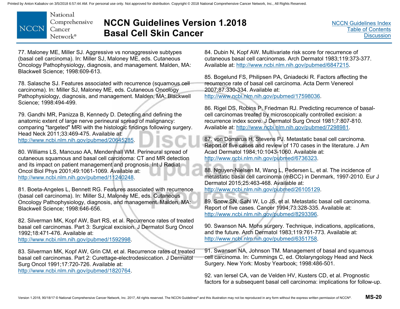National Comprehensive **NCCN** Cancer Network<sup>®</sup>

# **NCCN Guidelines Version 1.2018 Basal Cell Skin Cancer**

77. Maloney ME, Miller SJ. Aggressive vs nonaggressive subtypes (basal cell carcinoma). In: Miller SJ, Maloney ME, eds. Cutaneous Oncology Pathophysiology, diagnosis, and management. Malden, MA: Blackwell Science; 1998:609-613.

78. Salasche SJ. Features associated with recurrence (squamous cell carcinoma). In: Miller SJ, Maloney ME, eds. Cutaneous Oncology Pathophysiology, diagnosis, and management. Malden, MA: Blackwell Science; 1998:494-499.

79. Gandhi MR, Panizza B, Kennedy D. Detecting and defining the anatomic extent of large nerve perineural spread of malignancy: comparing "targeted" MRI with the histologic findings following surgery. Head Neck 2011;33:469-475. Available at: http://www.ncbi.nlm.nih.gov/pubmed/20645285.

80. Williams LS, Mancuso AA, Mendenhall WM. Perineural spread of cutaneous squamous and basal cell carcinoma: CT and MR detection and its impact on patient management and prognosis. Int J Radiat Oncol Biol Phys 2001;49:1061-1069. Available at: http://www.ncbi.nlm.nih.gov/pubmed/11240248.

81. Boeta-Angeles L, Bennett RG. Features associated with recurrence (basal cell carcinoma). In: Miller SJ, Maloney ME, eds. Cutaneous Oncology Pathophysiology, diagnosis, and management. Malden, MA: Blackwell Science; 1998:646-656.

82. Silverman MK, Kopf AW, Bart RS, et al. Recurrence rates of treated basal cell carcinomas. Part 3: Surgical excision. J Dermatol Surg Oncol 1992;18:471-476. Available at: http://www.ncbi.nlm.nih.gov/pubmed/1592998.

83. Silverman MK, Kopf AW, Grin CM, et al. Recurrence rates of treated basal cell carcinomas. Part 2: Curettage-electrodesiccation. J Dermatol Surg Oncol 1991;17:720-726. Available at: http://www.ncbi.nlm.nih.gov/pubmed/1820764.

84. Dubin N, Kopf AW. Multivariate risk score for recurrence of cutaneous basal cell carcinomas. Arch Dermatol 1983;119:373-377. Available at: http://www.ncbi.nlm.nih.gov/pubmed/6847215.

85. Bogelund FS, Philipsen PA, Gniadecki R. Factors affecting the recurrence rate of basal cell carcinoma. Acta Derm Venereol 2007;87:330-334. Available at: http://www.ncbi.nlm.nih.gov/pubmed/17598036.

86. Rigel DS, Robins P, Friedman RJ. Predicting recurrence of basalcell carcinomas treated by microscopically controlled excision: a recurrence index score. J Dermatol Surg Oncol 1981;7:807-810. Available at: http://www.ncbi.nlm.nih.gov/pubmed/7298981.

87. von Domarus H, Stevens PJ. Metastatic basal cell carcinoma. Report of five cases and review of 170 cases in the literature. J Am Acad Dermatol 1984;10:1043-1060. Available at: http://www.ncbi.nlm.nih.gov/pubmed/6736323.

88. Nguyen-Nielsen M, Wang L, Pedersen L, et al. The incidence of metastatic basal cell carcinoma (mBCC) in Denmark, 1997-2010. Eur J Dermatol 2015;25:463-468. Available at: http://www.ncbi.nlm.nih.gov/pubmed/26105129.

89. Snow SN, Sahl W, Lo JS, et al. Metastatic basal cell carcinoma. Report of five cases. Cancer 1994;73:328-335. Available at: http://www.ncbi.nlm.nih.gov/pubmed/8293396.

90. Swanson NA. Mohs surgery. Technique, indications, applications, and the future. Arch Dermatol 1983;119:761-773. Available at: http://www.ncbi.nlm.nih.gov/pubmed/6351758.

91. Swanson NA, Johnson TM. Management of basal and squamous cell carcinoma. In: Cummings C, ed. Otolaryngology Head and Neck Surgery. New York: Mosby Yearbook; 1998:486-501.

92. van Iersel CA, van de Velden HV, Kusters CD, et al. Prognostic factors for a subsequent basal cell carcinoma: implications for follow-up.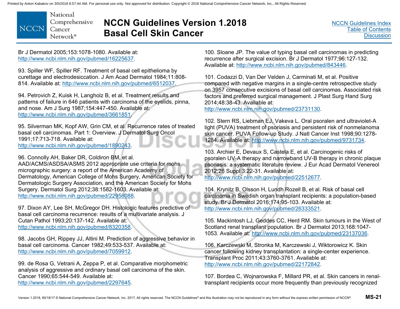National Comprehensive **NCCN** Cancer Network<sup>®</sup>

# **NCCN Guidelines Version 1.2018 Basal Cell Skin Cancer**

Br J Dermatol 2005;153:1078-1080. Available at: http://www.ncbi.nlm.nih.gov/pubmed/16225637.

93. Spiller WF, Spiller RF. Treatment of basal cell epithelioma by curettage and electrodesiccation. J Am Acad Dermatol 1984;11:808- 814. Available at: http://www.ncbi.nlm.nih.gov/pubmed/6512037.

94. Petrovich Z, Kuisk H, Langholz B, et al. Treatment results and patterns of failure in 646 patients with carcinoma of the eyelids, pinna, and nose. Am J Surg 1987;154:447-450. Available at: http://www.ncbi.nlm.nih.gov/pubmed/3661851.

95. Silverman MK, Kopf AW, Grin CM, et al. Recurrence rates of treated basal cell carcinomas. Part 1: Overview. J Dermatol Surg Oncol 1991;17:713-718. Available at: http://www.ncbi.nlm.nih.gov/pubmed/1890243.

96. Connolly AH, Baker DR, Coldiron BM, et al.

AAD/ACMS/ASDSA/ASMS 2012 appropriate use criteria for mohs micrographic surgery: a report of the American Academy of Dermatology, American College of Mohs Surgery, American Society for Dermatologic Surgery Association, and the American Society for Mohs Surgery. Dermatol Surg 2012;38:1582-1603. Available at: http://www.ncbi.nlm.nih.gov/pubmed/22958088.

97. Dixon AY, Lee SH, McGregor DH. Histologic features predictive of basal cell carcinoma recurrence: results of a multivariate analysis. J Cutan Pathol 1993;20:137-142. Available at: http://www.ncbi.nlm.nih.gov/pubmed/8320358.

98. Jacobs GH, Rippey JJ, Altini M. Prediction of aggressive behavior in basal cell carcinoma. Cancer 1982;49:533-537. Available at: http://www.ncbi.nlm.nih.gov/pubmed/7059912.

99. de Rosa G, Vetrani A, Zeppa P, et al. Comparative morphometric analysis of aggressive and ordinary basal cell carcinoma of the skin. Cancer 1990;65:544-549. Available at: http://www.ncbi.nlm.nih.gov/pubmed/2297645.

100. Sloane JP. The value of typing basal cell carcinomas in predicting recurrence after surgical excision. Br J Dermatol 1977;96:127-132. Available at: http://www.ncbi.nlm.nih.gov/pubmed/843446.

101. Codazzi D, Van Der Velden J, Carminati M, et al. Positive compared with negative margins in a single-centre retrospective study on 3957 consecutive excisions of basal cell carcinomas. Associated risk factors and preferred surgical management. J Plast Surg Hand Surg 2014;48:38-43. Available at:

http://www.ncbi.nlm.nih.gov/pubmed/23731130.

102. Stern RS, Liebman EJ, Vakeva L. Oral psoralen and ultraviolet-A light (PUVA) treatment of psoriasis and persistent risk of nonmelanoma skin cancer. PUVA Follow-up Study. J Natl Cancer Inst 1998;90:1278- 1284. Available at: http://www.ncbi.nlm.nih.gov/pubmed/9731734.

103. Archier E, Devaux S, Castela E, et al. Carcinogenic risks of psoralen UV-A therapy and narrowband UV-B therapy in chronic plaque psoriasis: a systematic literature review. J Eur Acad Dermatol Venereol 2012;26 Suppl 3:22-31. Available at:

http://www.ncbi.nlm.nih.gov/pubmed/22512677.

104. Krynitz B, Olsson H, Lundh Rozell B, et al. Risk of basal cell carcinoma in Swedish organ transplant recipients: a population-based study. Br J Dermatol 2016;174:95-103. Available at: http://www.ncbi.nlm.nih.gov/pubmed/26333521.

105. Mackintosh LJ, Geddes CC, Herd RM. Skin tumours in the West of Scotland renal transplant population. Br J Dermatol 2013;168:1047- 1053. Available at: http://www.ncbi.nlm.nih.gov/pubmed/23137036.

106. Karczewski M, Stronka M, Karczewski J, Wiktorowicz K. Skin cancer following kidney transplantation: a single-center experience. Transplant Proc 2011;43:3760-3761. Available at: http://www.ncbi.nlm.nih.gov/pubmed/22172842.

107. Bordea C, Wojnarowska F, Millard PR, et al. Skin cancers in renaltransplant recipients occur more frequently than previously recognized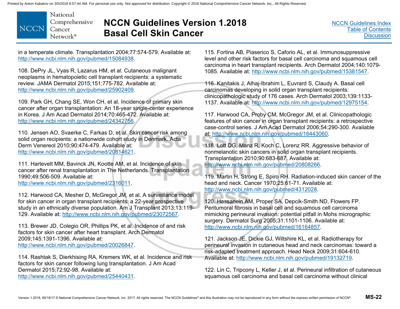National Comprehensive **NCCN** Cancer Network<sup>®</sup>

# **NCCN Guidelines Version 1.2018 Basal Cell Skin Cancer**

[NCCN Guidelines Index](http://www.nccn.org/professionals/physician_gls/f_guidelines.asp)[Table of Contents](#page-2-0)**[Discussion](#page-12-0)** 

in a temperate climate. Transplantation 2004;77:574-579. Available at: http://www.ncbi.nlm.nih.gov/pubmed/15084938.

108. DePry JL, Vyas R, Lazarus HM, et al. Cutaneous malignant neoplasms in hematopoietic cell transplant recipients: a systematic review. JAMA Dermatol 2015;151:775-782. Available at: http://www.ncbi.nlm.nih.gov/pubmed/25902409.

109. Park GH, Chang SE, Won CH, et al. Incidence of primary skin cancer after organ transplantation: An 18-year single-center experience in Korea. J Am Acad Dermatol 2014;70:465-472. Available at: http://www.ncbi.nlm.nih.gov/pubmed/24342756.

110. Jensen AO, Svaerke C, Farkas D, et al. Skin cancer risk among solid organ recipients: a nationwide cohort study in Denmark. Acta Derm Venereol 2010;90:474-479. Available at: http://www.ncbi.nlm.nih.gov/pubmed/20814621.

111. Hartevelt MM, Bavinck JN, Kootte AM, et al. Incidence of skin cancer after renal transplantation in The Netherlands. Transplantation 1990;49:506-509. Available at: http://www.ncbi.nlm.nih.gov/pubmed/2316011.

112. Harwood CA, Mesher D, McGregor JM, et al. A surveillance model for skin cancer in organ transplant recipients: a 22-year prospective study in an ethnically diverse population. Am J Transplant 2013;13:119- 129. Available at: http://www.ncbi.nlm.nih.gov/pubmed/23072567.

113. Brewer JD, Colegio OR, Phillips PK, et al. Incidence of and risk factors for skin cancer after heart transplant. Arch Dermatol 2009;145:1391-1396. Available at: http://www.ncbi.nlm.nih.gov/pubmed/20026847.

114. Rashtak S, Dierkhising RA, Kremers WK, et al. Incidence and risk factors for skin cancer following lung transplantation. J Am Acad Dermatol 2015;72:92-98. Available at: http://www.ncbi.nlm.nih.gov/pubmed/25440431.

115. Fortina AB, Piaserico S, Caforio AL, et al. Immunosuppressive level and other risk factors for basal cell carcinoma and squamous cell carcinoma in heart transplant recipients. Arch Dermatol 2004;140:1079- 1085. Available at: http://www.ncbi.nlm.nih.gov/pubmed/15381547.

116. Kanitakis J, Alhaj-Ibrahim L, Euvrard S, Claudy A. Basal cell carcinomas developing in solid organ transplant recipients: clinicopathologic study of 176 cases. Arch Dermatol 2003;139:1133- 1137. Available at: http://www.ncbi.nlm.nih.gov/pubmed/12975154.

117. Harwood CA, Proby CM, McGregor JM, et al. Clinicopathologic features of skin cancer in organ transplant recipients: a retrospective case-control series. J Am Acad Dermatol 2006;54:290-300. Available at: http://www.ncbi.nlm.nih.gov/pubmed/16443060.

118. Lott DG, Manz R, Koch C, Lorenz RR. Aggressive behavior of nonmelanotic skin cancers in solid organ transplant recipients. Transplantation 2010;90:683-687. Available at: http://www.ncbi.nlm.nih.gov/pubmed/20808266.

119. Martin H, Strong E, Spiro RH. Radiation-induced skin cancer of the head and neck. Cancer 1970;25:61-71. Available at: http://www.ncbi.nlm.nih.gov/pubmed/4312028.

120. Hassanein AM, Proper SA, Depcik-Smith ND, Flowers FP. Peritumoral fibrosis in basal cell and squamous cell carcinoma mimicking perineural invasion: potential pitfall in Mohs micrographic surgery. Dermatol Surg 2005;31:1101-1106. Available at: http://www.ncbi.nlm.nih.gov/pubmed/16164857.

121. Jackson JE, Dickie GJ, Wiltshire KL, et al. Radiotherapy for perineural invasion in cutaneous head and neck carcinomas: toward a risk-adapted treatment approach. Head Neck 2009;31:604-610. Available at: http://www.ncbi.nlm.nih.gov/pubmed/19132719.

122. Lin C, Tripcony L, Keller J, et al. Perineural infiltration of cutaneous squamous cell carcinoma and basal cell carcinoma without clinical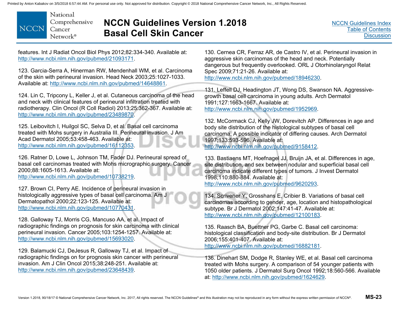National Comprehensive **NCCN** Cancer Network®

# **NCCN Guidelines Version 1.2018 Basal Cell Skin Cancer**

features. Int J Radiat Oncol Biol Phys 2012;82:334-340. Available at: http://www.ncbi.nlm.nih.gov/pubmed/21093171.

123. Garcia-Serra A, Hinerman RW, Mendenhall WM, et al. Carcinoma of the skin with perineural invasion. Head Neck 2003;25:1027-1033. Available at: http://www.ncbi.nlm.nih.gov/pubmed/14648861.

124. Lin C, Tripcony L, Keller J, et al. Cutaneous carcinoma of the head and neck with clinical features of perineural infiltration treated with radiotherapy. Clin Oncol (R Coll Radiol) 2013;25:362-367. Available at: http://www.ncbi.nlm.nih.gov/pubmed/23489870.

125. Leibovitch I, Huilgol SC, Selva D, et al. Basal cell carcinoma treated with Mohs surgery in Australia III. Perineural invasion. J Am Acad Dermatol 2005;53:458-463. Available at: http://www.ncbi.nlm.nih.gov/pubmed/16112353.

126. Ratner D, Lowe L, Johnson TM, Fader DJ. Perineural spread of basal cell carcinomas treated with Mohs micrographic surgery. Cancer 2000;88:1605-1613. Available at: http://www.ncbi.nlm.nih.gov/pubmed/10738219.

127. Brown CI, Perry AE. Incidence of perineural invasion in histologically aggressive types of basal cell carcinoma. Am J Dermatopathol 2000;22:123-125. Available at: http://www.ncbi.nlm.nih.gov/pubmed/10770431.

128. Galloway TJ, Morris CG, Mancuso AA, et al. Impact of radiographic findings on prognosis for skin carcinoma with clinical perineural invasion. Cancer 2005;103:1254-1257. Available at: http://www.ncbi.nlm.nih.gov/pubmed/15693020.

129. Balamucki CJ, DeJesus R, Galloway TJ, et al. Impact of radiographic findings on for prognosis skin cancer with perineural invasion. Am J Clin Oncol 2015;38:248-251. Available at: http://www.ncbi.nlm.nih.gov/pubmed/23648439.

130. Cernea CR, Ferraz AR, de Castro IV, et al. Perineural invasion in aggressive skin carcinomas of the head and neck. Potentially dangerous but frequently overlooked. ORL J Otorhinolaryngol Relat Spec 2009;71:21-26. Available at: http://www.ncbi.nlm.nih.gov/pubmed/18946230.

131. Leffell DJ, Headington JT, Wong DS, Swanson NA. Aggressivegrowth basal cell carcinoma in young adults. Arch Dermatol 1991;127:1663-1667. Available at: http://www.ncbi.nlm.nih.gov/pubmed/1952969.

132. McCormack CJ, Kelly JW, Dorevitch AP. Differences in age and body site distribution of the histological subtypes of basal cell carcinoma. A possible indicator of differing causes. Arch Dermatol 1997;133:593-596. Available at: http://www.ncbi.nlm.nih.gov/pubmed/9158412.

133. Bastiaens MT, Hoefnagel JJ, Bruijn JA, et al. Differences in age, site distribution, and sex between nodular and superficial basal cell carcinoma indicate different types of tumors. J Invest Dermatol 1998;110:880-884. Available at: http://www.ncbi.nlm.nih.gov/pubmed/9620293.

134. Scrivener Y, Grosshans E, Cribier B. Variations of basal cell carcinomas according to gender, age, location and histopathological subtype. Br J Dermatol 2002;147:41-47. Available at: http://www.ncbi.nlm.nih.gov/pubmed/12100183.

135. Raasch BA, Buettner PG, Garbe C. Basal cell carcinoma: histological classification and body-site distribution. Br J Dermatol 2006;155:401-407. Available at: http://www.ncbi.nlm.nih.gov/pubmed/16882181.

136. Dinehart SM, Dodge R, Stanley WE, et al. Basal cell carcinoma treated with Mohs surgery. A comparison of 54 younger patients with 1050 older patients. J Dermatol Surg Oncol 1992;18:560-566. Available at: http://www.ncbi.nlm.nih.gov/pubmed/1624629.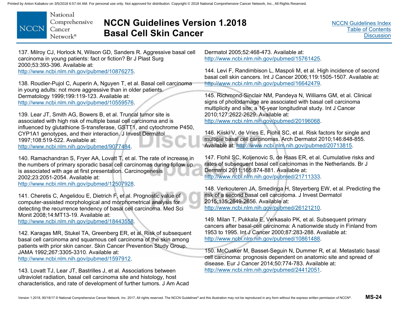

### **NCCN Guidelines Version 1.2018 Basal Cell Skin Cancer**

[NCCN Guidelines Index](http://www.nccn.org/professionals/physician_gls/f_guidelines.asp)[Table of Contents](#page-2-0)**[Discussion](#page-12-0)** 

137. Milroy CJ, Horlock N, Wilson GD, Sanders R. Aggressive basal cell carcinoma in young patients: fact or fiction? Br J Plast Surg 2000;53:393-396. Available at: http://www.ncbi.nlm.nih.gov/pubmed/10876275.

138. Roudier-Pujol C, Auperin A, Nguyen T, et al. Basal cell carcinoma in young adults: not more aggressive than in older patients. Dermatology 1999;199:119-123. Available at: http://www.ncbi.nlm.nih.gov/pubmed/10559576.

139. Lear JT, Smith AG, Bowers B, et al. Truncal tumor site is associated with high risk of multiple basal cell carcinoma and is influenced by glutathione S-transferase, GSTT1, and cytochrome P450, CYP1A1 genotypes, and their interaction. J Invest Dermatol 1997;108:519-522. Available at: http://www.ncbi.nlm.nih.gov/pubmed/9077484.

140. Ramachandran S, Fryer AA, Lovatt T, et al. The rate of increase in the numbers of primary sporadic basal cell carcinomas during follow up is associated with age at first presentation. Carcinogenesis 2002;23:2051-2054. Available at: http://www.ncbi.nlm.nih.gov/pubmed/12507928.

141. Cheretis C, Angelidou E, Dietrich F, et al. Prognostic value of computer-assisted morphological and morphometrical analysis for detecting the recurrence tendency of basal cell carcinoma. Med Sci Monit 2008;14:MT13-19. Available at:

http://www.ncbi.nlm.nih.gov/pubmed/18443558.

142. Karagas MR, Stukel TA, Greenberg ER, et al. Risk of subsequent basal cell carcinoma and squamous cell carcinoma of the skin among patients with prior skin cancer. Skin Cancer Prevention Study Group. JAMA 1992;267:3305-3310. Available at: http://www.ncbi.nlm.nih.gov/pubmed/1597912.

143. Lovatt TJ, Lear JT, Bastrilles J, et al. Associations between ultraviolet radiation, basal cell carcinoma site and histology, host characteristics, and rate of development of further tumors. J Am Acad

Dermatol 2005;52:468-473. Available at: http://www.ncbi.nlm.nih.gov/pubmed/15761425.

144. Levi F, Randimbison L, Maspoli M, et al. High incidence of second basal cell skin cancers. Int J Cancer 2006;119:1505-1507. Available at: http://www.ncbi.nlm.nih.gov/pubmed/16642479.

145. Richmond-Sinclair NM, Pandeya N, Williams GM, et al. Clinical signs of photodamage are associated with basal cell carcinoma multiplicity and site: a 16-year longitudinal study. Int J Cancer 2010;127:2622-2629. Available at: http://www.ncbi.nlm.nih.gov/pubmed/20196068.

146. Kiiski V, de Vries E, Flohil SC, et al. Risk factors for single and multiple basal cell carcinomas. Arch Dermatol 2010;146:848-855. Available at: http://www.ncbi.nlm.nih.gov/pubmed/20713815.

147. Flohil SC, Koljenovic S, de Haas ER, et al. Cumulative risks and rates of subsequent basal cell carcinomas in the Netherlands. Br J Dermatol 2011;165:874-881. Available at: http://www.ncbi.nlm.nih.gov/pubmed/21711333.

148. Verkouteren JA, Smedinga H, Steyerberg EW, et al. Predicting the risk of a second basal cell carcinoma. J Invest Dermatol 2015;135:2649-2656. Available at: http://www.ncbi.nlm.nih.gov/pubmed/26121210.

149. Milan T, Pukkala E, Verkasalo PK, et al. Subsequent primary cancers after basal-cell carcinoma: A nationwide study in Finland from 1953 to 1995. Int J Cancer 2000;87:283-288. Available at: http://www.ncbi.nlm.nih.gov/pubmed/10861488.

150. McCusker M, Basset-Seguin N, Dummer R, et al. Metastatic basal cell carcinoma: prognosis dependent on anatomic site and spread of disease. Eur J Cancer 2014;50:774-783. Available at: http://www.ncbi.nlm.nih.gov/pubmed/24412051.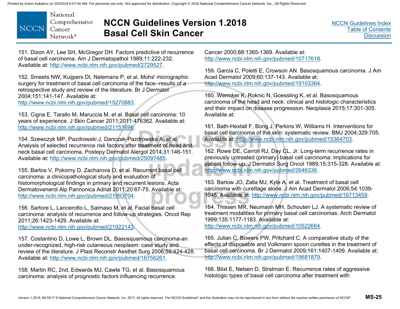

### **NCCN Guidelines Version 1.2018 Basal Cell Skin Cancer**

[NCCN Guidelines Index](http://www.nccn.org/professionals/physician_gls/f_guidelines.asp)[Table of Contents](#page-2-0)**[Discussion](#page-12-0)** 

151. Dixon AY, Lee SH, McGregor DH. Factors predictive of recurrence of basal cell carcinoma. Am J Dermatopathol 1989;11:222-232. Available at: http://www.ncbi.nlm.nih.gov/pubmed/2729527.

152. Smeets NW, Kuijpers DI, Nelemans P, et al. Mohs' micrographic surgery for treatment of basal cell carcinoma of the face--results of a retrospective study and review of the literature. Br J Dermatol 2004;151:141-147. Available at:

http://www.ncbi.nlm.nih.gov/pubmed/15270883.

153. Cigna E, Tarallo M, Maruccia M, et al. Basal cell carcinoma: 10 years of experience. J Skin Cancer 2011;2011:476362. Available at: http://www.ncbi.nlm.nih.gov/pubmed/21151696.

154. Szewczyk MP, Pazdrowski J, Danczak-Pazdrowska A, et al. Analysis of selected recurrence risk factors after treatment of head and neck basal cell carcinoma. Postepy Dermatol Alergol 2014;31:146-151. Available at: http://www.ncbi.nlm.nih.gov/pubmed/25097485.

155. Bartos V, Pokorny D, Zacharova O, et al. Recurrent basal cell carcinoma: a clinicopathological study and evaluation of histomorphological findings in primary and recurrent lesions. Acta Dermatovenerol Alp Pannonica Adriat 2011;20:67-75. Available at: http://www.ncbi.nlm.nih.gov/pubmed/21993704.

156. Sartore L, Lancerotto L, Salmaso M, et al. Facial basal cell carcinoma: analysis of recurrence and follow-up strategies. Oncol Rep 2011;26:1423-1429. Available at:

http://www.ncbi.nlm.nih.gov/pubmed/21922143.

157. Costantino D, Lowe L, Brown DL. Basosquamous carcinoma-an under-recognized, high-risk cutaneous neoplasm: case study and review of the literature. J Plast Reconstr Aesthet Surg 2006;59:424-428. Available at: http://www.ncbi.nlm.nih.gov/pubmed/16756261.

158. Martin RC, 2nd, Edwards MJ, Cawte TG, et al. Basosquamous carcinoma: analysis of prognostic factors influencing recurrence.

Cancer 2000;88:1365-1369. Available at: http://www.ncbi.nlm.nih.gov/pubmed/10717618.

159. Garcia C, Poletti E, Crowson AN. Basosquamous carcinoma. J Am Acad Dermatol 2009;60:137-143. Available at: http://www.ncbi.nlm.nih.gov/pubmed/19103364.

160. Wermker K, Roknic N, Goessling K, et al. Basosquamous carcinoma of the head and neck: clinical and histologic characteristics and their impact on disease progression. Neoplasia 2015;17:301-305. Available at:

161. Bath-Hextall F, Bong J, Perkins W, Williams H. Interventions for basal cell carcinoma of the skin: systematic review. BMJ 2004;329:705. Available at: http://www.ncbi.nlm.nih.gov/pubmed/15364703.

162. Rowe DE, Carroll RJ, Day CL, Jr. Long-term recurrence rates in previously untreated (primary) basal cell carcinoma: implications for patient follow-up. J Dermatol Surg Oncol 1989;15:315-328. Available at: http://www.ncbi.nlm.nih.gov/pubmed/2646336.

163. Barlow JO, Zalla MJ, Kyle A, et al. Treatment of basal cell carcinoma with curettage alone. J Am Acad Dermatol 2006;54:1039- 1045. Available at: http://www.ncbi.nlm.nih.gov/pubmed/16713459.

164. Thissen MR, Neumann MH, Schouten LJ. A systematic review of treatment modalities for primary basal cell carcinomas. Arch Dermatol 1999;135:1177-1183. Available at: http://www.ncbi.nlm.nih.gov/pubmed/10522664.

165. Julian C, Bowers PW, Pritchard C. A comparative study of the effects of disposable and Volkmann spoon curettes in the treatment of basal cell carcinoma. Br J Dermatol 2009;161:1407-1409. Available at: http://www.ncbi.nlm.nih.gov/pubmed/19681879.

166. Blixt E, Nelsen D, Stratman E. Recurrence rates of aggressive histologic types of basal cell carcinoma after treatment with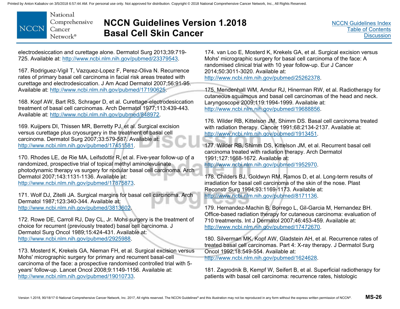

# **NCCN Guidelines Version 1.2018 Basal Cell Skin Cancer**

electrodesiccation and curettage alone. Dermatol Surg 2013;39:719- 725. Available at: http://www.ncbi.nlm.nih.gov/pubmed/23379543.

167. Rodriguez-Vigil T, Vazquez-Lopez F, Perez-Oliva N. Recurrence rates of primary basal cell carcinoma in facial risk areas treated with curettage and electrodesiccation. J Am Acad Dermatol 2007;56:91-95. Available at: http://www.ncbi.nlm.nih.gov/pubmed/17190625.

168. Kopf AW, Bart RS, Schrager D, et al. Curettage-electrodesiccation treatment of basal cell carcinomas. Arch Dermatol 1977;113:439-443. Available at: http://www.ncbi.nlm.nih.gov/pubmed/848972.

169. Kuijpers DI, Thissen MR, Berretty PJ, et al. Surgical excision versus curettage plus cryosurgery in the treatment of basal cell carcinoma. Dermatol Surg 2007;33:579-587. Available at: http://www.ncbi.nlm.nih.gov/pubmed/17451581.

170. Rhodes LE, de Rie MA, Leifsdottir R, et al. Five-year follow-up of a randomized, prospective trial of topical methyl aminolevulinate photodynamic therapy vs surgery for nodular basal cell carcinoma. Arch Dermatol 2007;143:1131-1136. Available at: http://www.ncbi.nlm.nih.gov/pubmed/17875873.

171. Wolf DJ, Zitelli JA. Surgical margins for basal cell carcinoma. Arch Dermatol 1987;123:340-344. Available at: http://www.ncbi.nlm.nih.gov/pubmed/3813602.

172. Rowe DE, Carroll RJ, Day CL, Jr. Mohs surgery is the treatment of choice for recurrent (previously treated) basal cell carcinoma. J Dermatol Surg Oncol 1989;15:424-431. Available at: http://www.ncbi.nlm.nih.gov/pubmed/2925988.

173. Mosterd K, Krekels GA, Nieman FH, et al. Surgical excision versus Mohs' micrographic surgery for primary and recurrent basal-cell carcinoma of the face: a prospective randomised controlled trial with 5 years' follow-up. Lancet Oncol 2008;9:1149-1156. Available at: http://www.ncbi.nlm.nih.gov/pubmed/19010733.

174. van Loo E, Mosterd K, Krekels GA, et al. Surgical excision versus Mohs' micrographic surgery for basal cell carcinoma of the face: A randomised clinical trial with 10 year follow-up. Eur J Cancer 2014;50:3011-3020. Available at: http://www.ncbi.nlm.nih.gov/pubmed/25262378.

175. Mendenhall WM, Amdur RJ, Hinerman RW, et al. Radiotherapy for cutaneous squamous and basal cell carcinomas of the head and neck. Laryngoscope 2009;119:1994-1999. Available at: http://www.ncbi.nlm.nih.gov/pubmed/19688856.

176. Wilder RB, Kittelson JM, Shimm DS. Basal cell carcinoma treated with radiation therapy. Cancer 1991;68:2134-2137. Available at: http://www.ncbi.nlm.nih.gov/pubmed/1913451.

177. Wilder RB, Shimm DS, Kittelson JM, et al. Recurrent basal cell carcinoma treated with radiation therapy. Arch Dermatol 1991;127:1668-1672. Available at:

http://www.ncbi.nlm.nih.gov/pubmed/1952970.

178. Childers BJ, Goldwyn RM, Ramos D, et al. Long-term results of irradiation for basal cell carcinoma of the skin of the nose. Plast Reconstr Surg 1994;93:1169-1173. Available at: http://www.ncbi.nlm.nih.gov/pubmed/8171136.

179. Hernandez-Machin B, Borrego L, Gil-Garcia M, Hernandez BH. Office-based radiation therapy for cutaneous carcinoma: evaluation of 710 treatments. Int J Dermatol 2007;46:453-459. Available at: http://www.ncbi.nlm.nih.gov/pubmed/17472670.

180. Silverman MK, Kopf AW, Gladstein AH, et al. Recurrence rates of treated basal cell carcinomas. Part 4: X-ray therapy. J Dermatol Surg Oncol 1992;18:549-554. Available at: http://www.ncbi.nlm.nih.gov/pubmed/1624628.

181. Zagrodnik B, Kempf W, Seifert B, et al. Superficial radiotherapy for patients with basal cell carcinoma: recurrence rates, histologic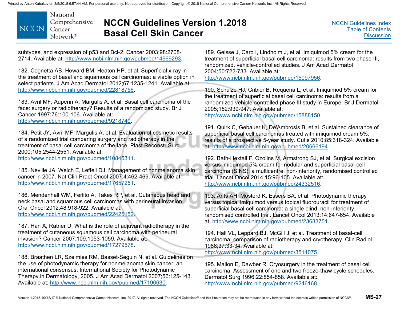National Comprehensive **NCCN** Cancer Network<sup>®</sup>

# **NCCN Guidelines Version 1.2018 Basal Cell Skin Cancer**

subtypes, and expression of p53 and Bcl-2. Cancer 2003;98:2708- 2714. Available at: http://www.ncbi.nlm.nih.gov/pubmed/14669293.

182. Cognetta AB, Howard BM, Heaton HP, et al. Superficial x-ray in the treatment of basal and squamous cell carcinomas: a viable option in select patients. J Am Acad Dermatol 2012;67:1235-1241. Available at: http://www.ncbi.nlm.nih.gov/pubmed/22818756.

183. Avril MF, Auperin A, Margulis A, et al. Basal cell carcinoma of the face: surgery or radiotherapy? Results of a randomized study. Br J Cancer 1997;76:100-106. Available at: http://www.ncbi.nlm.nih.gov/pubmed/9218740.

184. Petit JY, Avril MF, Margulis A, et al. Evaluation of cosmetic results of a randomized trial comparing surgery and radiotherapy in the treatment of basal cell carcinoma of the face. Plast Reconstr Surg 2000;105:2544-2551. Available at:

http://www.ncbi.nlm.nih.gov/pubmed/10845311.

185. Neville JA, Welch E, Leffell DJ. Management of nonmelanoma skin cancer in 2007. Nat Clin Pract Oncol 2007;4:462-469. Available at: http://www.ncbi.nlm.nih.gov/pubmed/17657251.

186. Mendenhall WM, Ferlito A, Takes RP, et al. Cutaneous head and neck basal and squamous cell carcinomas with perineural invasion. Oral Oncol 2012;48:918-922. Available at: http://www.ncbi.nlm.nih.gov/pubmed/22425152.

187. Han A, Ratner D. What is the role of adjuvant radiotherapy in the treatment of cutaneous squamous cell carcinoma with perineural invasion? Cancer 2007;109:1053-1059. Available at: http://www.ncbi.nlm.nih.gov/pubmed/17279578.

188. Braathen LR, Szeimies RM, Basset-Seguin N, et al. Guidelines on the use of photodynamic therapy for nonmelanoma skin cancer: an international consensus. International Society for Photodynamic Therapy in Dermatology, 2005. J Am Acad Dermatol 2007;56:125-143. Available at: http://www.ncbi.nlm.nih.gov/pubmed/17190630.

189. Geisse J, Caro I, Lindholm J, et al. Imiquimod 5% cream for the treatment of superficial basal cell carcinoma: results from two phase III, randomized, vehicle-controlled studies. J Am Acad Dermatol 2004;50:722-733. Available at: http://www.ncbi.nlm.nih.gov/pubmed/15097956.

190. Schulze HJ, Cribier B, Requena L, et al. Imiquimod 5% cream for the treatment of superficial basal cell carcinoma: results from a randomized vehicle-controlled phase III study in Europe. Br J Dermatol 2005;152:939-947. Available at:

http://www.ncbi.nlm.nih.gov/pubmed/15888150.

191. Quirk C, Gebauer K, De'Ambrosis B, et al. Sustained clearance of superficial basal cell carcinomas treated with imiquimod cream 5%: results of a prospective 5-year study. Cutis 2010;85:318-324. Available at: http://www.ncbi.nlm.nih.gov/pubmed/20666194.

192. Bath-Hextall F, Ozolins M, Armstrong SJ, et al. Surgical excision versus imiquimod 5% cream for nodular and superficial basal-cell carcinoma (SINS): a multicentre, non-inferiority, randomised controlled trial. Lancet Oncol 2014;15:96-105. Available at: http://www.ncbi.nlm.nih.gov/pubmed/24332516.

193. Arits AH, Mosterd K, Essers BA, et al. Photodynamic therapy versus topical imiquimod versus topical fluorouracil for treatment of superficial basal-cell carcinoma: a single blind, non-inferiority, randomised controlled trial. Lancet Oncol 2013;14:647-654. Available at: http://www.ncbi.nlm.nih.gov/pubmed/23683751.

194. Hall VL, Leppard BJ, McGill J, et al. Treatment of basal-cell carcinoma: comparison of radiotherapy and cryotherapy. Clin Radiol 1986;37:33-34. Available at:

http://www.ncbi.nlm.nih.gov/pubmed/3514075.

195. Mallon E, Dawber R. Cryosurgery in the treatment of basal cell carcinoma. Assessment of one and two freeze-thaw cycle schedules. Dermatol Surg 1996;22:854-858. Available at: http://www.ncbi.nlm.nih.gov/pubmed/9246168.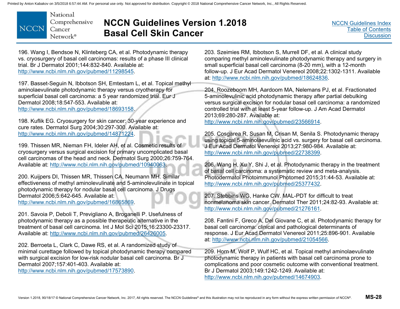National Comprehensive **NCCN** Cancer Network<sup>®</sup>

# **NCCN Guidelines Version 1.2018 Basal Cell Skin Cancer**

[NCCN Guidelines Index](http://www.nccn.org/professionals/physician_gls/f_guidelines.asp)[Table of Contents](#page-2-0)**[Discussion](#page-12-0)** 

196. Wang I, Bendsoe N, Klinteberg CA, et al. Photodynamic therapy vs. cryosurgery of basal cell carcinomas: results of a phase III clinical trial. Br J Dermatol 2001;144:832-840. Available at: http://www.ncbi.nlm.nih.gov/pubmed/11298545.

197. Basset-Seguin N, Ibbotson SH, Emtestam L, et al. Topical methyl aminolaevulinate photodynamic therapy versus cryotherapy for superficial basal cell carcinoma: a 5 year randomized trial. Eur J Dermatol 2008;18:547-553. Available at: http://www.ncbi.nlm.nih.gov/pubmed/18693158.

198. Kuflik EG. Cryosurgery for skin cancer: 30-year experience and cure rates. Dermatol Surg 2004;30:297-300. Available at: http://www.ncbi.nlm.nih.gov/pubmed/14871224.

199. Thissen MR, Nieman FH, Ideler AH, et al. Cosmetic results of cryosurgery versus surgical excision for primary uncomplicated basal cell carcinomas of the head and neck. Dermatol Surg 2000;26:759-764. Available at: http://www.ncbi.nlm.nih.gov/pubmed/10940063.

200. Kuijpers DI, Thissen MR, Thissen CA, Neumann MH. Similar effectiveness of methyl aminolevulinate and 5-aminolevulinate in topical photodynamic therapy for nodular basal cell carcinoma. J Drugs Dermatol 2006;5:642-645. Available at: http://www.ncbi.nlm.nih.gov/pubmed/16865869.

201. Savoia P, Deboli T, Previgliano A, Broganelli P. Usefulness of photodynamic therapy as a possible therapeutic alternative in the treatment of basal cell carcinoma. Int J Mol Sci 2015;16:23300-23317. Available at: http://www.ncbi.nlm.nih.gov/pubmed/26426005.

202. Berroeta L, Clark C, Dawe RS, et al. A randomized study of minimal curettage followed by topical photodynamic therapy compared with surgical excision for low-risk nodular basal cell carcinoma. Br J Dermatol 2007;157:401-403. Available at: http://www.ncbi.nlm.nih.gov/pubmed/17573890.

203. Szeimies RM, Ibbotson S, Murrell DF, et al. A clinical study comparing methyl aminolevulinate photodynamic therapy and surgery in small superficial basal cell carcinoma (8-20 mm), with a 12-month follow-up. J Eur Acad Dermatol Venereol 2008;22:1302-1311. Available at: http://www.ncbi.nlm.nih.gov/pubmed/18624836.

204. Roozeboom MH, Aardoom MA, Nelemans PJ, et al. Fractionated 5-aminolevulinic acid photodynamic therapy after partial debulking versus surgical excision for nodular basal cell carcinoma: a randomized controlled trial with at least 5-year follow-up. J Am Acad Dermatol 2013;69:280-287. Available at:

http://www.ncbi.nlm.nih.gov/pubmed/23566914.

205. Cosgarea R, Susan M, Crisan M, Senila S. Photodynamic therapy using topical 5-aminolaevulinic acid vs. surgery for basal cell carcinoma. J Eur Acad Dermatol Venereol 2013;27:980-984. Available at: http://www.ncbi.nlm.nih.gov/pubmed/22738399.

206. Wang H, Xu Y, Shi J, et al. Photodynamic therapy in the treatment of basal cell carcinoma: a systematic review and meta-analysis. Photodermatol Photoimmunol Photomed 2015;31:44-53. Available at: http://www.ncbi.nlm.nih.gov/pubmed/25377432.

207. Stebbins WG, Hanke CW. MAL-PDT for difficult to treat nonmelanoma skin cancer. Dermatol Ther 2011;24:82-93. Available at: http://www.ncbi.nlm.nih.gov/pubmed/21276161.

208. Fantini F, Greco A, Del Giovane C, et al. Photodynamic therapy for basal cell carcinoma: clinical and pathological determinants of response. J Eur Acad Dermatol Venereol 2011;25:896-901. Available at: http://www.ncbi.nlm.nih.gov/pubmed/21054566.

209. Horn M, Wolf P, Wulf HC, et al. Topical methyl aminolaevulinate photodynamic therapy in patients with basal cell carcinoma prone to complications and poor cosmetic outcome with conventional treatment. Br J Dermatol 2003;149:1242-1249. Available at: http://www.ncbi.nlm.nih.gov/pubmed/14674903.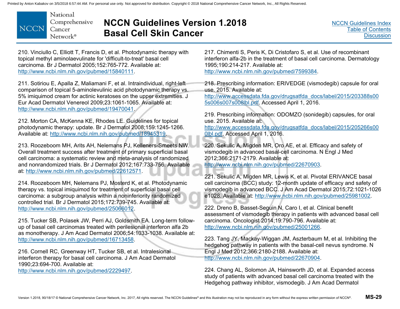

# **NCCN Guidelines Version 1.2018 Basal Cell Skin Cancer**

210. Vinciullo C, Elliott T, Francis D, et al. Photodynamic therapy with topical methyl aminolaevulinate for 'difficult-to-treat' basal cell carcinoma. Br J Dermatol 2005;152:765-772. Available at: http://www.ncbi.nlm.nih.gov/pubmed/15840111.

211. Sotiriou E, Apalla Z, Maliamani F, et al. Intraindividual, right-left comparison of topical 5-aminolevulinic acid photodynamic therapy vs. 5% imiquimod cream for actinic keratoses on the upper extremities. J Eur Acad Dermatol Venereol 2009;23:1061-1065. Available at: http://www.ncbi.nlm.nih.gov/pubmed/19470041.

212. Morton CA, McKenna KE, Rhodes LE. Guidelines for topical photodynamic therapy: update. Br J Dermatol 2008;159:1245-1266. Available at: http://www.ncbi.nlm.nih.gov/pubmed/18945319.

213. Roozeboom MH, Arits AH, Nelemans PJ, Kelleners-Smeets NW. Overall treatment success after treatment of primary superficial basal cell carcinoma: a systematic review and meta-analysis of randomized and nonrandomized trials. Br J Dermatol 2012;167:733-756. Available at: http://www.ncbi.nlm.nih.gov/pubmed/22612571.

214. Roozeboom MH, Nelemans PJ, Mosterd K, et al. Photodynamic therapy vs. topical imiquimod for treatment of superficial basal cell carcinoma: a subgroup analysis within a noninferiority randomized controlled trial. Br J Dermatol 2015;172:739-745. Available at: http://www.ncbi.nlm.nih.gov/pubmed/25066012.

215. Tucker SB, Polasek JW, Perri AJ, Goldsmith EA. Long-term followup of basal cell carcinomas treated with perilesional interferon alfa 2b as monotherapy. J Am Acad Dermatol 2006;54:1033-1038. Available at: http://www.ncbi.nlm.nih.gov/pubmed/16713458.

216. Cornell RC, Greenway HT, Tucker SB, et al. Intralesional interferon therapy for basal cell carcinoma. J Am Acad Dermatol 1990;23:694-700. Available at:

http://www.ncbi.nlm.nih.gov/pubmed/2229497.

217. Chimenti S, Peris K, Di Cristofaro S, et al. Use of recombinant interferon alfa-2b in the treatment of basal cell carcinoma. Dermatology 1995;190:214-217. Available at: http://www.ncbi.nlm.nih.gov/pubmed/7599384.

218. Prescribing information: ERIVEDGE (vismodegib) capsule for oral use. 2015. Available at:

[http://www.accessdata.fda.gov/drugsatfda\\_docs/label/2015/203388s00](http://www.accessdata.fda.gov/drugsatfda_docs/label/2015/203388s005s006s007s008lbl.pdf) 5s006s007s008lbl.pdf. Accessed April 1, 2016.

219. Prescribing information: ODOMZO (sonidegib) capsules, for oral use. 2015. Available at:

[http://www.accessdata.fda.gov/drugsatfda\\_docs/label/2015/205266s00](http://www.accessdata.fda.gov/drugsatfda_docs/label/2015/205266s000lbl.pdf) 0lbl.pdf. Accessed April 1, 2016.

220. Sekulic A, Migden MR, Oro AE, et al. Efficacy and safety of vismodegib in advanced basal-cell carcinoma. N Engl J Med 2012;366:2171-2179. Available at:

http://www.ncbi.nlm.nih.gov/pubmed/22670903.

221. Sekulic A, Migden MR, Lewis K, et al. Pivotal ERIVANCE basal cell carcinoma (BCC) study: 12-month update of efficacy and safety of vismodegib in advanced BCC. J Am Acad Dermatol 2015;72:1021-1026 e1028. Available at: http://www.ncbi.nlm.nih.gov/pubmed/25981002.

222. Dreno B, Basset-Seguin N, Caro I, et al. Clinical benefit assessment of vismodegib therapy in patients with advanced basal cell carcinoma. Oncologist 2014;19:790-796. Available at: http://www.ncbi.nlm.nih.gov/pubmed/25001266.

223. Tang JY, Mackay-Wiggan JM, Aszterbaum M, et al. Inhibiting the hedgehog pathway in patients with the basal-cell nevus syndrome. N Engl J Med 2012;366:2180-2188. Available at: http://www.ncbi.nlm.nih.gov/pubmed/22670904.

224. Chang AL, Solomon JA, Hainsworth JD, et al. Expanded access study of patients with advanced basal cell carcinoma treated with the Hedgehog pathway inhibitor, vismodegib. J Am Acad Dermatol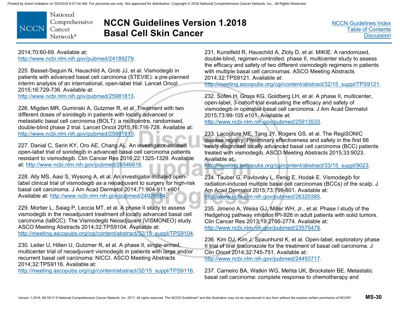National Comprehensive **NCCN** Cancer Network<sup>®</sup>

# **NCCN Guidelines Version 1.2018 Basal Cell Skin Cancer**

2014;70:60-69. Available at: http://www.ncbi.nlm.nih.gov/pubmed/24189279.

225. Basset-Seguin N, Hauschild A, Grob JJ, et al. Vismodegib in patients with advanced basal cell carcinoma (STEVIE): a pre-planned interim analysis of an international, open-label trial. Lancet Oncol 2015;16:729-736. Available at: http://www.ncbi.nlm.nih.gov/pubmed/25981813.

226. Migden MR, Guminski A, Gutzmer R, et al. Treatment with two different doses of sonidegib in patients with locally advanced or metastatic basal cell carcinoma (BOLT): a multicentre, randomised, double-blind phase 2 trial. Lancet Oncol 2015;16:716-728. Available at: http://www.ncbi.nlm.nih.gov/pubmed/25981810.

227. Danial C, Sarin KY, Oro AE, Chang AL. An investigator-initiated open-label trial of sonidegib in advanced basal cell carcinoma patients resistant to vismodegib. Clin Cancer Res 2016;22:1325-1329. Available at: http://www.ncbi.nlm.nih.gov/pubmed/26546616.

228. Ally MS, Aasi S, Wysong A, et al. An investigator-initiated openlabel clinical trial of vismodegib as a neoadjuvant to surgery for high-risk basal cell carcinoma. J Am Acad Dermatol 2014;71:904-911 e901. Available at: http://www.ncbi.nlm.nih.gov/pubmed/24929884.

229. Mortier L, Saiag P, Leccia MT, et al. A phase II study to assess vismodegib in the neoadjuvant treatment of locally advanced basal cell carcinoma (laBCC): The Vismodegib Neoadjuvant (VISMONEO) study. ASCO Meeting Abstracts 2014;32:TPS9104. Available at: http://meeting.ascopubs.org/cgi/content/abstract/32/15\_suppl/TPS9104.

230. Leiter U, Hillen U, Gutzmer R, et al. A phase II, single-armed, multicenter trial of neoadjuvant vismodegib in patients with large and/or recurrent basal cell carcinoma: NICCI. ASCO Meeting Abstracts 2014;32:TPS9116. Available at:

http://meeting.ascopubs.org/cgi/content/abstract/32/15\_suppl/TPS9116.

231. Kunstfeld R, Hauschild A, Zloty D, et al. MIKIE: A randomized, double-blind, regimen-controlled, phase II, multicenter study to assess the efficacy and safety of two different vismodegib regimens in patients with multiple basal cell carcinomas. ASCO Meeting Abstracts 2014;32:TPS9121. Available at:

http://meeting.ascopubs.org/cgi/content/abstract/32/15\_suppl/TPS9121.

232. Sofen H, Gross KG, Goldberg LH, et al. A phase II, multicenter, open-label, 3-cohort trial evaluating the efficacy and safety of vismodegib in operable basal cell carcinoma. J Am Acad Dermatol 2015;73:99-105 e101. Available at: http://www.ncbi.nlm.nih.gov/pubmed/25913533.

233. Lacouture ME, Tang JY, Rogers GS, et al. The RegiSONIC disease registry: Preliminary effectiveness and safety in the first 66 newly diagnosed locally advanced basal cell carcinoma (BCC) patients treated with vismodegib. ASCO Meeting Abstracts 2015;33:9023. Available at:

http://meeting.ascopubs.org/cgi/content/abstract/33/15\_suppl/9023.

234. Tauber G, Pavlovsky L, Fenig E, Hodak E. Vismodegib for radiation-induced multiple basal cell carcinomas (BCCs) of the scalp. J Am Acad Dermatol 2015;73:799-801. Available at: http://www.ncbi.nlm.nih.gov/pubmed/26320385.

235. Jimeno A, Weiss GJ, Miller WH, Jr., et al. Phase I study of the Hedgehog pathway inhibitor IPI-926 in adult patients with solid tumors. Clin Cancer Res 2013;19:2766-2774. Available at: http://www.ncbi.nlm.nih.gov/pubmed/23575478.

236. Kim DJ, Kim J, Spaunhurst K, et al. Open-label, exploratory phase II trial of oral itraconazole for the treatment of basal cell carcinoma. J Clin Oncol 2014;32:745-751. Available at: http://www.ncbi.nlm.nih.gov/pubmed/24493717.

237. Carneiro BA, Watkin WG, Mehta UK, Brockstein BE. Metastatic basal cell carcinoma: complete response to chemotherapy and